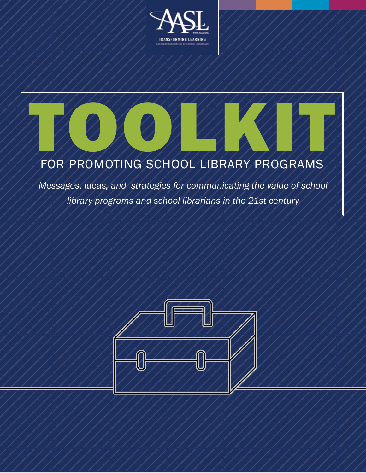



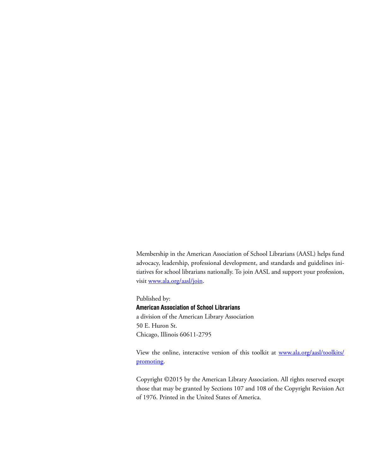Membership in the American Association of School Librarians (AASL) helps fund advocacy, leadership, professional development, and standards and guidelines initiatives for school librarians nationally. To join AASL and support your profession, visit<www.ala.org/aasl/join>.

Published by: **American Association of School Librarians** a division of the American Library Association 50 E. Huron St. Chicago, Illinois 60611-2795

View the online, interactive version of this toolkit at [www.ala.org/aasl/toolkits/](www.ala.org/aasl/toolkits/promoting) [promoting](www.ala.org/aasl/toolkits/promoting).

Copyright ©2015 by the American Library Association. All rights reserved except those that may be granted by Sections 107 and 108 of the Copyright Revision Act of 1976. Printed in the United States of America.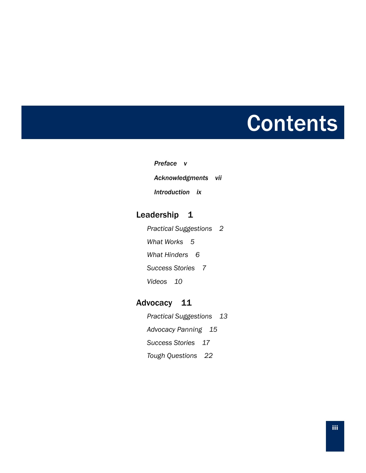# **Contents**

*[Preface](#page-4-0) v [Acknowledgments](#page-6-0) vii [Introduction](#page-8-0) ix* 

# [Leadership](#page-10-0) 1

*[Practical Suggestions](#page-11-0) 2 [What Works](#page-14-0) 5 [What Hinders](#page-15-0) 6 [Success Stories](#page-16-0) 7 [Videos](#page-19-0) 10* 

# [Advocacy](#page-20-0) 11

*[Practical Suggestions](#page-22-0) 13 [Advocacy Panning](#page-24-0) 15 [Success Stories](#page-26-0) 17 [Tough Questions](#page-31-0) 22*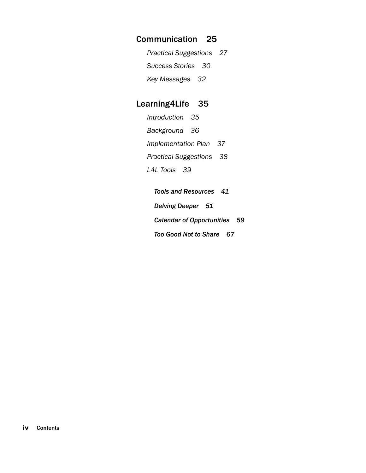# [Communication](#page-34-0) 25

*[Practical Suggestions](#page-36-0) 27 [Success Stories](#page-39-0) 30 [Key Messages](#page-41-0) 32*

# [Learning4Life](#page-44-0) 35

| Introduction 35                 |  |
|---------------------------------|--|
| Background 36                   |  |
| Implementation Plan 37          |  |
| <b>Practical Suggestions</b> 38 |  |
| L4L Tools 39                    |  |

*[Tools and Resources](#page-50-0) 41 [Delving Deeper](#page-60-0) 51 [Calendar of Opportunities](#page-68-0) 59 [Too Good Not to Share](#page-76-0) 67*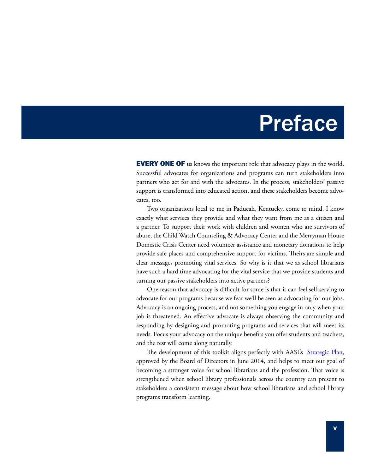# **Preface**

<span id="page-4-0"></span>**EVERY ONE OF** us knows the important role that advocacy plays in the world. Successful advocates for organizations and programs can turn stakeholders into partners who act for and with the advocates. In the process, stakeholders' passive support is transformed into educated action, and these stakeholders become advocates, too.

Two organizations local to me in Paducah, Kentucky, come to mind. I know exactly what services they provide and what they want from me as a citizen and a partner. To support their work with children and women who are survivors of abuse, the Child Watch Counseling & Advocacy Center and the Merryman House Domestic Crisis Center need volunteer assistance and monetary donations to help provide safe places and comprehensive support for victims. Theirs are simple and clear messages promoting vital services. So why is it that we as school librarians have such a hard time advocating for the vital service that we provide students and turning our passive stakeholders into active partners?

One reason that advocacy is difficult for some is that it can feel self-serving to advocate for our programs because we fear we'll be seen as advocating for our jobs. Advocacy is an ongoing process, and not something you engage in only when your job is threatened. An effective advocate is always observing the community and responding by designing and promoting programs and services that will meet its needs. Focus your advocacy on the unique benefits you offer students and teachers, and the rest will come along naturally.

The development of this toolkit aligns perfectly with AASL's [Strategic Plan](http://www.ala.org/aasl/about/governing-docs/strategic-plan), approved by the Board of Directors in June 2014, and helps to meet our goal of becoming a stronger voice for school librarians and the profession. That voice is strengthened when school library professionals across the country can present to stakeholders a consistent message about how school librarians and school library programs transform learning.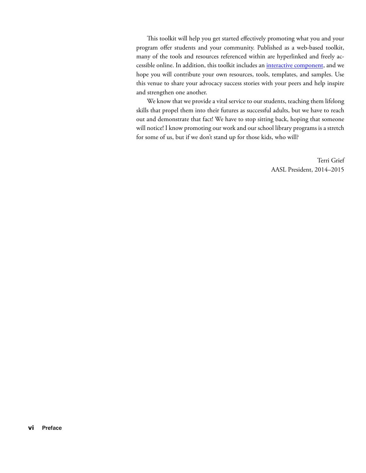This toolkit will help you get started effectively promoting what you and your program offer students and your community. Published as a web-based toolkit, many of the tools and resources referenced within are hyperlinked and freely accessible online. In addition, this toolkit includes an *interactive component*, and we hope you will contribute your own resources, tools, templates, and samples. Use this venue to share your advocacy success stories with your peers and help inspire and strengthen one another.

We know that we provide a vital service to our students, teaching them lifelong skills that propel them into their futures as successful adults, but we have to reach out and demonstrate that fact! We have to stop sitting back, hoping that someone will notice! I know promoting our work and our school library programs is a stretch for some of us, but if we don't stand up for those kids, who will?

> Terri Grief AASL President, 2014–2015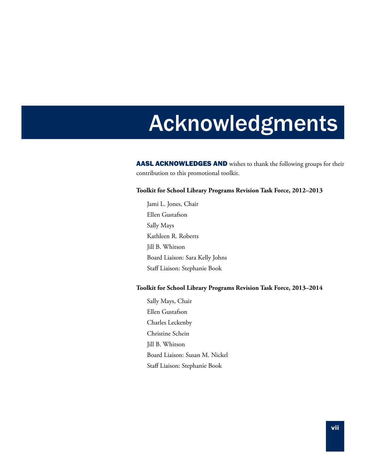# <span id="page-6-0"></span>Acknowledgments

AASL ACKNOWLEDGES AND wishes to thank the following groups for their contribution to this promotional toolkit.

#### **Toolkit for School Library Programs Revision Task Force, 2012–2013**

Jami L. Jones, Chair Ellen Gustafson Sally Mays Kathleen R. Roberts Jill B. Whitson Board Liaison: Sara Kelly Johns Staff Liaison: Stephanie Book

#### **Toolkit for School Library Programs Revision Task Force, 2013–2014**

Sally Mays, Chair Ellen Gustafson Charles Leckenby Christine Schein Jill B. Whitson Board Liaison: Susan M. Nickel Staff Liaison: Stephanie Book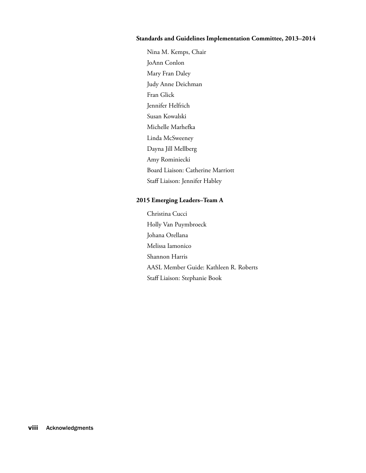#### **Standards and Guidelines Implementation Committee, 2013–2014**

Nina M. Kemps, Chair JoAnn Conlon Mary Fran Daley Judy Anne Deichman Fran Glick Jennifer Helfrich Susan Kowalski Michelle Marhefka Linda McSweeney Dayna Jill Mellberg Amy Rominiecki Board Liaison: Catherine Marriott Staff Liaison: Jennifer Habley

#### **2015 Emerging Leaders–Team A**

Christina Cucci Holly Van Puymbroeck Johana Orellana Melissa Iamonico Shannon Harris AASL Member Guide: Kathleen R. Roberts Staff Liaison: Stephanie Book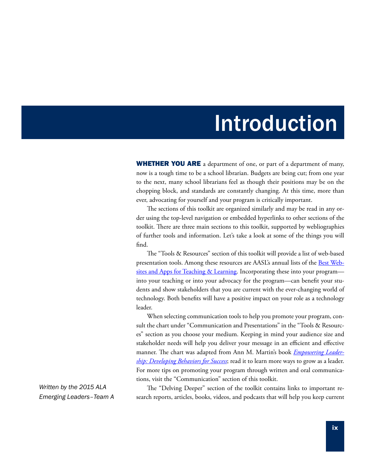# Introduction

<span id="page-8-0"></span>**WHETHER YOU ARE** a department of one, or part of a department of many, now is a tough time to be a school librarian. Budgets are being cut; from one year to the next, many school librarians feel as though their positions may be on the chopping block, and standards are constantly changing. At this time, more than ever, advocating for yourself and your program is critically important.

The sections of this toolkit are organized similarly and may be read in any order using the top-level navigation or embedded hyperlinks to other sections of the toolkit. There are three main sections to this toolkit, supported by webliographies of further tools and information. Let's take a look at some of the things you will find.

The "Tools & Resources" section of this toolkit will provide a list of web-based presentation tools. Among these resources are AASL's annual lists of the **Best Web**[sites and Apps for Teaching & Learning.](http://www.ala.org/aasl/standards-guidelines/best) Incorporating these into your program into your teaching or into your advocacy for the program—can benefit your students and show stakeholders that you are current with the ever-changing world of technology. Both benefits will have a positive impact on your role as a technology leader.

When selecting communication tools to help you promote your program, consult the chart under "Communication and Presentations" in the "Tools & Resources" section as you choose your medium. Keeping in mind your audience size and stakeholder needs will help you deliver your message in an efficient and effective manner. The chart was adapted from Ann M. Martin's book *[Empowering Leader](http://www.alastore.ala.org/detail.aspx?ID=10613)[ship: Developing Behaviors for Success](http://www.alastore.ala.org/detail.aspx?ID=10613)*; read it to learn more ways to grow as a leader. For more tips on promoting your program through written and oral communications, visit the "Communication" section of this toolkit.

*Written by the 2015 ALA Emerging Leaders–Team A*

The "Delving Deeper" section of the toolkit contains links to important research reports, articles, books, videos, and podcasts that will help you keep current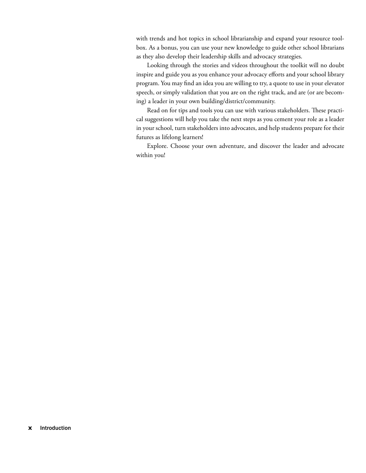with trends and hot topics in school librarianship and expand your resource toolbox. As a bonus, you can use your new knowledge to guide other school librarians as they also develop their leadership skills and advocacy strategies.

Looking through the stories and videos throughout the toolkit will no doubt inspire and guide you as you enhance your advocacy efforts and your school library program. You may find an idea you are willing to try, a quote to use in your elevator speech, or simply validation that you are on the right track, and are (or are becoming) a leader in your own building/district/community.

Read on for tips and tools you can use with various stakeholders. These practical suggestions will help you take the next steps as you cement your role as a leader in your school, turn stakeholders into advocates, and help students prepare for their futures as lifelong learners!

Explore. Choose your own adventure, and discover the leader and advocate within you!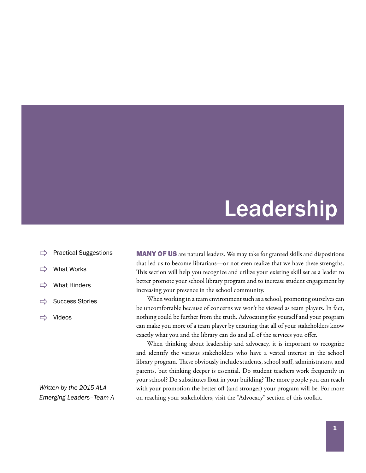# Leadership

- <span id="page-10-0"></span>[Practical Suggestions](#page-11-0)
- [What Works](#page-14-0)
- [What Hinders](#page-15-0)
- [Success Stories](#page-16-0)
- $\Rightarrow$  [Videos](#page-19-0)

*Written by the 2015 ALA Emerging Leaders–Team A* **MANY OF US** are natural leaders. We may take for granted skills and dispositions that led us to become librarians—or not even realize that we have these strengths. This section will help you recognize and utilize your existing skill set as a leader to better promote your school library program and to increase student engagement by increasing your presence in the school community.

When working in a team environment such as a school, promoting ourselves can be uncomfortable because of concerns we won't be viewed as team players. In fact, nothing could be further from the truth. Advocating for yourself and your program can make you more of a team player by ensuring that all of your stakeholders know exactly what you and the library can do and all of the services you offer.

When thinking about leadership and advocacy, it is important to recognize and identify the various stakeholders who have a vested interest in the school library program. These obviously include students, school staff, administrators, and parents, but thinking deeper is essential. Do student teachers work frequently in your school? Do substitutes float in your building? The more people you can reach with your promotion the better off (and stronger) your program will be. For more on reaching your stakeholders, visit the "Advocacy" section of this toolkit.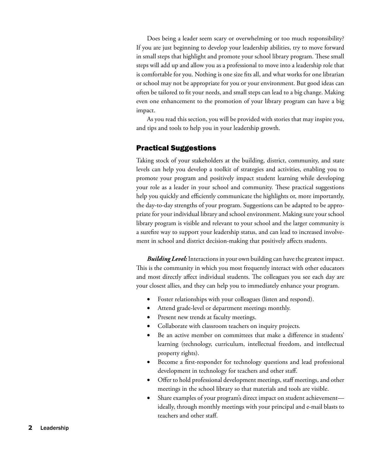<span id="page-11-0"></span>Does being a leader seem scary or overwhelming or too much responsibility? If you are just beginning to develop your leadership abilities, try to move forward in small steps that highlight and promote your school library program. These small steps will add up and allow you as a professional to move into a leadership role that is comfortable for you. Nothing is one size fits all, and what works for one librarian or school may not be appropriate for you or your environment. But good ideas can often be tailored to fit your needs, and small steps can lead to a big change. Making even one enhancement to the promotion of your library program can have a big impact.

As you read this section, you will be provided with stories that may inspire you, and tips and tools to help you in your leadership growth.

#### Practical Suggestions

Taking stock of your stakeholders at the building, district, community, and state levels can help you develop a toolkit of strategies and activities, enabling you to promote your program and positively impact student learning while developing your role as a leader in your school and community. These practical suggestions help you quickly and efficiently communicate the highlights or, more importantly, the day-to-day strengths of your program. Suggestions can be adapted to be appropriate for your individual library and school environment. Making sure your school library program is visible and relevant to your school and the larger community is a surefire way to support your leadership status, and can lead to increased involvement in school and district decision-making that positively affects students.

*Building Level:* Interactions in your own building can have the greatest impact. This is the community in which you most frequently interact with other educators and most directly affect individual students. The colleagues you see each day are your closest allies, and they can help you to immediately enhance your program.

- Foster relationships with your colleagues (listen and respond).
- Attend grade-level or department meetings monthly.
- Present new trends at faculty meetings.
- Collaborate with classroom teachers on inquiry projects.
- Be an active member on committees that make a difference in students' learning (technology, curriculum, intellectual freedom, and intellectual property rights).
- Become a first-responder for technology questions and lead professional development in technology for teachers and other staff.
- • Offer to hold professional development meetings, staff meetings, and other meetings in the school library so that materials and tools are visible.
- Share examples of your program's direct impact on student achievement ideally, through monthly meetings with your principal and e-mail blasts to teachers and other staff.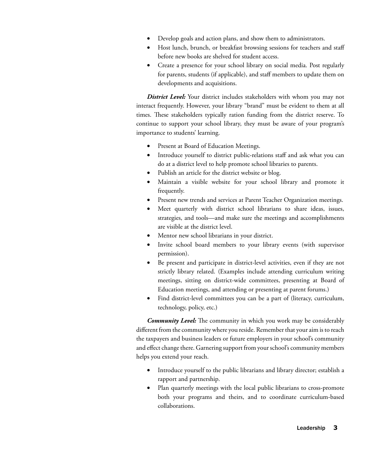- Develop goals and action plans, and show them to administrators.
- Host lunch, brunch, or breakfast browsing sessions for teachers and staff before new books are shelved for student access.
- Create a presence for your school library on social media. Post regularly for parents, students (if applicable), and staff members to update them on developments and acquisitions.

**District Level:** Your district includes stakeholders with whom you may not interact frequently. However, your library "brand" must be evident to them at all times. These stakeholders typically ration funding from the district reserve. To continue to support your school library, they must be aware of your program's importance to students' learning.

- Present at Board of Education Meetings.
- Introduce yourself to district public-relations staff and ask what you can do at a district level to help promote school libraries to parents.
- Publish an article for the district website or blog.
- Maintain a visible website for your school library and promote it frequently.
- Present new trends and services at Parent Teacher Organization meetings.
- Meet quarterly with district school librarians to share ideas, issues, strategies, and tools—and make sure the meetings and accomplishments are visible at the district level.
- Mentor new school librarians in your district.
- Invite school board members to your library events (with supervisor permission).
- • Be present and participate in district-level activities, even if they are not strictly library related. (Examples include attending curriculum writing meetings, sitting on district-wide committees, presenting at Board of Education meetings, and attending or presenting at parent forums.)
- Find district-level committees you can be a part of (literacy, curriculum, technology, policy, etc.)

*Community Level:* The community in which you work may be considerably different from the community where you reside. Remember that your aim is to reach the taxpayers and business leaders or future employers in your school's community and effect change there. Garnering support from your school's community members helps you extend your reach.

- Introduce yourself to the public librarians and library director; establish a rapport and partnership.
- Plan quarterly meetings with the local public librarians to cross-promote both your programs and theirs, and to coordinate curriculum-based collaborations.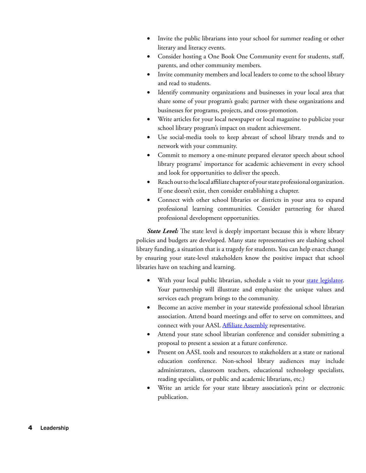- Invite the public librarians into your school for summer reading or other literary and literacy events.
- Consider hosting a One Book One Community event for students, staff, parents, and other community members.
- Invite community members and local leaders to come to the school library and read to students.
- Identify community organizations and businesses in your local area that share some of your program's goals; partner with these organizations and businesses for programs, projects, and cross-promotion.
- Write articles for your local newspaper or local magazine to publicize your school library program's impact on student achievement.
- • Use social-media tools to keep abreast of school library trends and to network with your community.
- Commit to memory a one-minute prepared elevator speech about school library programs' importance for academic achievement in every school and look for opportunities to deliver the speech.
- Reach out to the local affiliate chapter of your state professional organization. If one doesn't exist, then consider establishing a chapter.
- Connect with other school libraries or districts in your area to expand professional learning communities. Consider partnering for shared professional development opportunities.

*State Level:* The state level is deeply important because this is where library policies and budgets are developed. Many state representatives are slashing school library funding, a situation that is a tragedy for students. You can help enact change by ensuring your state-level stakeholders know the positive impact that school libraries have on teaching and learning.

- With your local public librarian, schedule a visit to your [state legislator](http://cqrcengage.com/ala/app/lookup?7&m=15248). Your partnership will illustrate and emphasize the unique values and services each program brings to the community.
- Become an active member in your statewide professional school librarian association. Attend board meetings and offer to serve on committees, and connect with your AASL **Affiliate Assembly** representative.
- Attend your state school librarian conference and consider submitting a proposal to present a session at a future conference.
- Present on AASL tools and resources to stakeholders at a state or national education conference. Non-school library audiences may include administrators, classroom teachers, educational technology specialists, reading specialists, or public and academic librarians, etc.)
- Write an article for your state library association's print or electronic publication.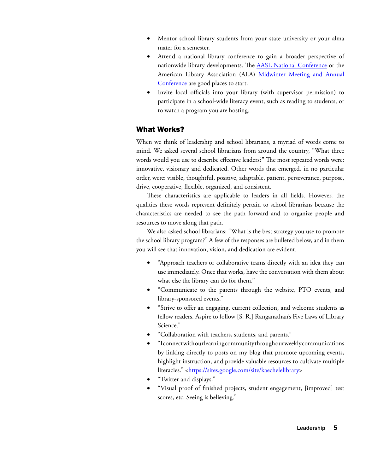- <span id="page-14-0"></span>Mentor school library students from your state university or your alma mater for a semester.
- Attend a national library conference to gain a broader perspective of nationwide library developments. The **[AASL National Conference](http://national.aasl.org/)** or the American Library Association (ALA) [Midwinter Meeting and Annual](http://www.ala.org/conferencesevents/) [Conference](http://www.ala.org/conferencesevents/) are good places to start.
- Invite local officials into your library (with supervisor permission) to participate in a school-wide literacy event, such as reading to students, or to watch a program you are hosting.

#### What Works?

When we think of leadership and school librarians, a myriad of words come to mind. We asked several school librarians from around the country, "What three words would you use to describe effective leaders?" The most repeated words were: innovative, visionary and dedicated. Other words that emerged, in no particular order, were: visible, thoughtful, positive, adaptable, patient, perseverance, purpose, drive, cooperative, flexible, organized, and consistent.

These characteristics are applicable to leaders in all fields. However, the qualities these words represent definitely pertain to school librarians because the characteristics are needed to see the path forward and to organize people and resources to move along that path.

We also asked school librarians: "What is the best strategy you use to promote the school library program?" A few of the responses are bulleted below, and in them you will see that innovation, vision, and dedication are evident.

- "Approach teachers or collaborative teams directly with an idea they can use immediately. Once that works, have the conversation with them about what else the library can do for them."
- • "Communicate to the parents through the website, PTO events, and library-sponsored events."
- • "Strive to offer an engaging, current collection, and welcome students as fellow readers. Aspire to follow [S. R.] Ranganathan's Five Laws of Library Science."
- • "Collaboration with teachers, students, and parents."
- • "I connect with our learning community through our weekly communications by linking directly to posts on my blog that promote upcoming events, highlight instruction, and provide valuable resources to cultivate multiple literacies." [<https://sites.google.com/site/kaechelelibrary>](https://sites.google.com/site/kaechelelibrary)
- "Twitter and displays."
- • "Visual proof of finished projects, student engagement, [improved] test scores, etc. Seeing is believing."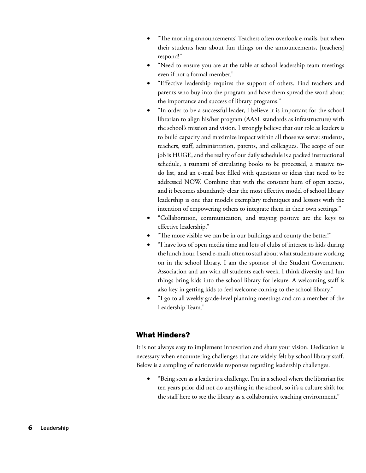- <span id="page-15-0"></span>"The morning announcements! Teachers often overlook e-mails, but when their students hear about fun things on the announcements, [teachers] respond!"
- "Need to ensure you are at the table at school leadership team meetings even if not a formal member."
- • "Effective leadership requires the support of others. Find teachers and parents who buy into the program and have them spread the word about the importance and success of library programs."
- "In order to be a successful leader, I believe it is important for the school librarian to align his/her program (AASL standards as infrastructure) with the school's mission and vision. I strongly believe that our role as leaders is to build capacity and maximize impact within all those we serve: students, teachers, staff, administration, parents, and colleagues. The scope of our job is HUGE, and the reality of our daily schedule is a packed instructional schedule, a tsunami of circulating books to be processed, a massive todo list, and an e-mail box filled with questions or ideas that need to be addressed NOW. Combine that with the constant hum of open access, and it becomes abundantly clear the most effective model of school library leadership is one that models exemplary techniques and lessons with the intention of empowering others to integrate them in their own settings."
- • "Collaboration, communication, and staying positive are the keys to effective leadership."
- "The more visible we can be in our buildings and county the better!"
- "I have lots of open media time and lots of clubs of interest to kids during the lunch hour. I send e-mails often to staff about what students are working on in the school library. I am the sponsor of the Student Government Association and am with all students each week. I think diversity and fun things bring kids into the school library for leisure. A welcoming staff is also key in getting kids to feel welcome coming to the school library."
- "I go to all weekly grade-level planning meetings and am a member of the Leadership Team."

## What Hinders?

It is not always easy to implement innovation and share your vision. Dedication is necessary when encountering challenges that are widely felt by school library staff. Below is a sampling of nationwide responses regarding leadership challenges.

"Being seen as a leader is a challenge. I'm in a school where the librarian for ten years prior did not do anything in the school, so it's a culture shift for the staff here to see the library as a collaborative teaching environment."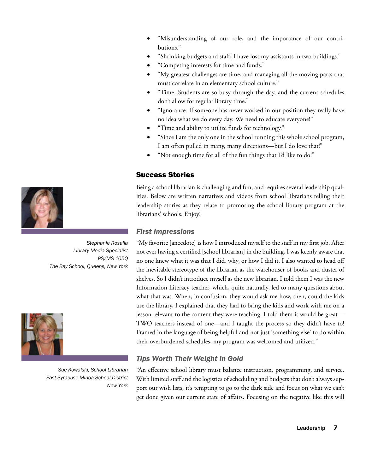- <span id="page-16-0"></span>"Misunderstanding of our role, and the importance of our contributions."
- "Shrinking budgets and staff; I have lost my assistants in two buildings."
- • "Competing interests for time and funds."
- "My greatest challenges are time, and managing all the moving parts that must correlate in an elementary school culture."
- "Time. Students are so busy through the day, and the current schedules don't allow for regular library time."
- "Ignorance. If someone has never worked in our position they really have no idea what we do every day. We need to educate everyone!"
- "Time and ability to utilize funds for technology."
- "Since I am the only one in the school running this whole school program, I am often pulled in many, many directions—but I do love that!"
- "Not enough time for all of the fun things that I'd like to do!"

# Success Stories

Being a school librarian is challenging and fun, and requires several leadership qualities. Below are written narratives and videos from school librarians telling their leadership stories as they relate to promoting the school library program at the librarians' schools. Enjoy!

# *First Impressions*

"My favorite [anecdote] is how I introduced myself to the staff in my first job. After not ever having a certified [school librarian] in the building, I was keenly aware that no one knew what it was that I did, why, or how I did it. I also wanted to head off the inevitable stereotype of the librarian as the warehouser of books and duster of shelves. So I didn't introduce myself as the new librarian. I told them I was the new Information Literacy teacher, which, quite naturally, led to many questions about what that was. When, in confusion, they would ask me how, then, could the kids use the library, I explained that they had to bring the kids and work with me on a lesson relevant to the content they were teaching. I told them it would be great— TWO teachers instead of one—and I taught the process so they didn't have to! Framed in the language of being helpful and not just 'something else' to do within their overburdened schedules, my program was welcomed and utilized."

# *Tips Worth Their Weight in Gold*

"An effective school library must balance instruction, programming, and service. With limited staff and the logistics of scheduling and budgets that don't always support our wish lists, it's tempting to go to the dark side and focus on what we can't get done given our current state of affairs. Focusing on the negative like this will



*Stephanie Rosalia Library Media Specialist PS/MS 105Q The Bay School, Queens, New York*



*Sue Kowalski, School Librarian East Syracuse Minoa School District New York*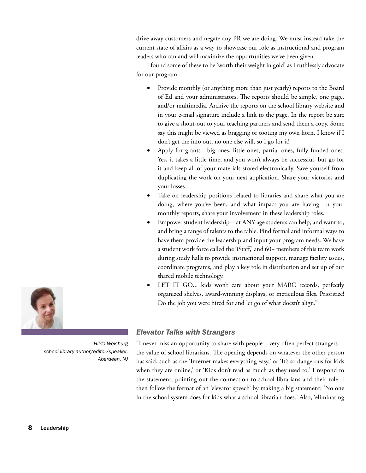drive away customers and negate any PR we are doing. We must instead take the current state of affairs as a way to showcase our role as instructional and program leaders who can and will maximize the opportunities we've been given.

I found some of these to be 'worth their weight in gold' as I ruthlessly advocate for our program:

- Provide monthly (or anything more than just yearly) reports to the Board of Ed and your administrators. The reports should be simple, one page, and/or multimedia. Archive the reports on the school library website and in your e-mail signature include a link to the page. In the report be sure to give a shout-out to your teaching partners and send them a copy. Some say this might be viewed as bragging or tooting my own horn. I know if I don't get the info out, no one else will, so I go for it!
- Apply for grants—big ones, little ones, partial ones, fully funded ones. Yes, it takes a little time, and you won't always be successful, but go for it and keep all of your materials stored electronically. Save yourself from duplicating the work on your next application. Share your victories and your losses.
- Take on leadership positions related to libraries and share what you are doing, where you've been, and what impact you are having. In your monthly reports, share your involvement in these leadership roles.
- Empower student leadership—at ANY age students can help, and want to, and bring a range of talents to the table. Find formal and informal ways to have them provide the leadership and input your program needs. We have a student work force called the 'iStaff,' and 60+ members of this team work during study halls to provide instructional support, manage facility issues, coordinate programs, and play a key role in distribution and set up of our shared mobile technology.
- LET IT GO... kids won't care about your MARC records, perfectly organized shelves, award-winning displays, or meticulous files. Prioritize! Do the job you were hired for and let go of what doesn't align."

## *Elevator Talks with Strangers*

"I never miss an opportunity to share with people—very often perfect strangers the value of school librarians. The opening depends on whatever the other person has said, such as the 'Internet makes everything easy,' or 'It's so dangerous for kids when they are online,' or 'Kids don't read as much as they used to.' I respond to the statement, pointing out the connection to school librarians and their role. I then follow the format of an 'elevator speech' by making a big statement: 'No one in the school system does for kids what a school librarian does.' Also, 'eliminating



*Hilda Weisburg school library author/editor/speaker, Aberdeen, NJ*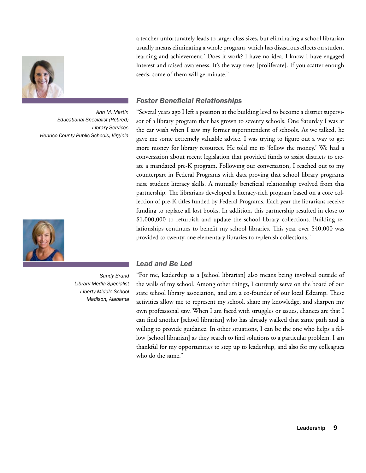

*Ann M. Martin Educational Specialist (Retired) Library Services Henrico County Public Schools, Virginia*



*Sandy Brand Library Media Specialist Liberty Middle School Madison, Alabama*

a teacher unfortunately leads to larger class sizes, but eliminating a school librarian usually means eliminating a whole program, which has disastrous effects on student learning and achievement.' Does it work? I have no idea. I know I have engaged interest and raised awareness. It's the way trees [proliferate]. If you scatter enough seeds, some of them will germinate."

## *Foster Beneficial Relationships*

"Several years ago I left a position at the building level to become a district supervisor of a library program that has grown to seventy schools. One Saturday I was at the car wash when I saw my former superintendent of schools. As we talked, he gave me some extremely valuable advice. I was trying to figure out a way to get more money for library resources. He told me to 'follow the money.' We had a conversation about recent legislation that provided funds to assist districts to create a mandated pre-K program. Following our conversation, I reached out to my counterpart in Federal Programs with data proving that school library programs raise student literacy skills. A mutually beneficial relationship evolved from this partnership. The librarians developed a literacy-rich program based on a core collection of pre-K titles funded by Federal Programs. Each year the librarians receive funding to replace all lost books. In addition, this partnership resulted in close to \$1,000,000 to refurbish and update the school library collections. Building relationships continues to benefit my school libraries. This year over \$40,000 was provided to twenty-one elementary libraries to replenish collections."

#### *Lead and Be Led*

"For me, leadership as a [school librarian] also means being involved outside of the walls of my school. Among other things, I currently serve on the board of our state school library association, and am a co-founder of our local Edcamp. These activities allow me to represent my school, share my knowledge, and sharpen my own professional saw. When I am faced with struggles or issues, chances are that I can find another [school librarian] who has already walked that same path and is willing to provide guidance. In other situations, I can be the one who helps a fellow [school librarian] as they search to find solutions to a particular problem. I am thankful for my opportunities to step up to leadership, and also for my colleagues who do the same."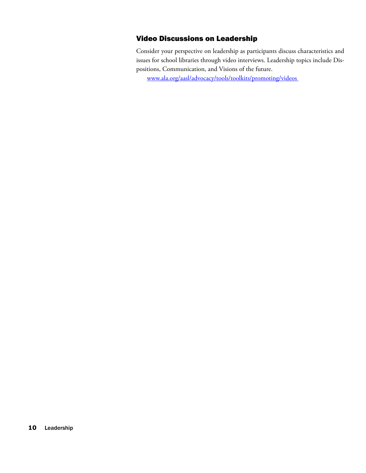# <span id="page-19-0"></span>Video Discussions on Leadership

Consider your perspective on leadership as participants discuss characteristics and issues for school libraries through video interviews. Leadership topics include Dispositions, Communication, and Visions of the future.

<www.ala.org/aasl/advocacy/tools/toolkits/promoting/videos>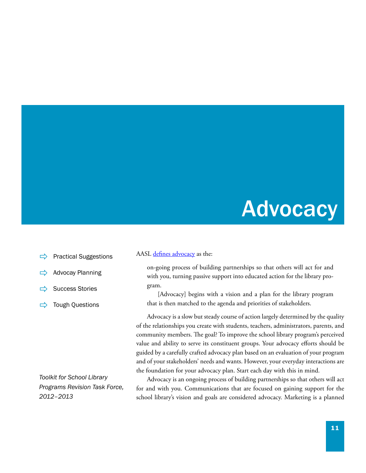# **Advocacy**

- <span id="page-20-0"></span>[Practical Suggestions](#page-22-0)
- [Advocay Planning](#page-24-0)
- [Success Stories](#page-26-0)
- $\Rightarrow$  [Tough Questions](#page-31-0)

*Toolkit for School Library Programs Revision Task Force, 2012–2013*

AASL [defines advocacy](http://www.ala.org/aasl/advocacy/definitions) as the:

on-going process of building partnerships so that others will act for and with you, turning passive support into educated action for the library program.

[Advocacy] begins with a vision and a plan for the library program that is then matched to the agenda and priorities of stakeholders.

Advocacy is a slow but steady course of action largely determined by the quality of the relationships you create with students, teachers, administrators, parents, and community members. The goal? To improve the school library program's perceived value and ability to serve its constituent groups. Your advocacy efforts should be guided by a carefully crafted advocacy plan based on an evaluation of your program and of your stakeholders' needs and wants. However, your everyday interactions are the foundation for your advocacy plan. Start each day with this in mind.

Advocacy is an ongoing process of building partnerships so that others will act for and with you. Communications that are focused on gaining support for the school library's vision and goals are considered advocacy. Marketing is a planned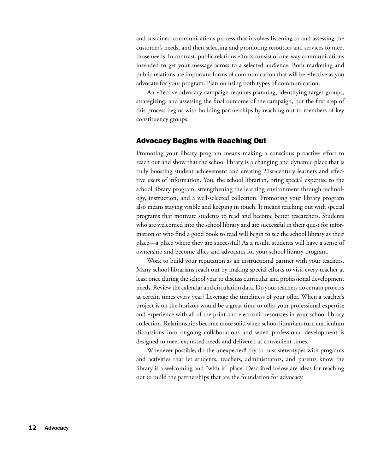and sustained communications process that involves listening to and assessing the customer's needs, and then selecting and promoting resources and services to meet those needs. In contrast, public relations efforts consist of one-way communications intended to get your message across to a selected audience. Both marketing and public relations are important forms of communication that will be effective as you advocate for your program. Plan on using both types of communication.

An effective advocacy campaign requires planning, identifying target groups, strategizing, and assessing the final outcome of the campaign, but the first step of this process begins with building partnerships by reaching out to members of key constituency groups.

#### Advocacy Begins with Reaching Out

Promoting your library program means making a conscious proactive effort to reach out and show that the school library is a changing and dynamic place that is truly boosting student achievement and creating 21st-century learners and effective users of information. You, the school librarian, bring special expertise to the school library program, strengthening the learning environment through technology, instruction, and a well-selected collection. Promoting your library program also means staying visible and keeping in touch. It means reaching out with special programs that motivate students to read and become better researchers. Students who are welcomed into the school library and are successful in their quest for information or who find a good book to read will begin to see the school library as their place—a place where they are successful! As a result, students will have a sense of ownership and become allies and advocates for your school library program.

Work to build your reputation as an instructional partner with your teachers. Many school librarians reach out by making special efforts to visit every teacher at least once during the school year to discuss curricular and professional development needs. Review the calendar and circulation data. Do your teachers do certain projects at certain times every year? Leverage the timeliness of your offer. When a teacher's project is on the horizon would be a great time to offer your professional expertise and experience with all of the print and electronic resources in your school library collection. Relationships become more solid when school librarians turn curriculum discussions into ongoing collaborations and when professional development is designed to meet expressed needs and delivered at convenient times.

Whenever possible, do the unexpected! Try to bust stereotypes with programs and activities that let students, teachers, administrators, and parents know the library is a welcoming and "with it" place. Described below are ideas for reaching out to build the partnerships that are the foundation for advocacy.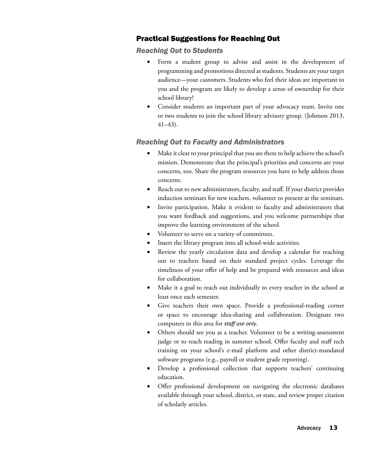# <span id="page-22-0"></span>Practical Suggestions for Reaching Out

## *Reaching Out to Students*

- • Form a student group to advise and assist in the development of programming and promotions directed at students. Students are your target audience—your customers. Students who feel their ideas are important to you and the program are likely to develop a sense of ownership for their school library!
- Consider students an important part of your advocacy team. Invite one or two students to join the school library advisory group. (Johnson 2013, 41–43).

## *Reaching Out to Faculty and Administrators*

- Make it clear to your principal that you are there to help achieve the school's mission. Demonstrate that the principal's priorities and concerns are your concerns, too. Share the program resources you have to help address those concerns.
- Reach out to new administrators, faculty, and staff. If your district provides induction seminars for new teachers, volunteer to present at the seminars.
- Invite participation. Make it evident to faculty and administrators that you want feedback and suggestions, and you welcome partnerships that improve the learning environment of the school.
- Volunteer to serve on a variety of committees.
- Insert the library program into all school-wide activities.
- Review the yearly circulation data and develop a calendar for reaching out to teachers based on their standard project cycles. Leverage the timeliness of your offer of help and be prepared with resources and ideas for collaboration.
- Make it a goal to reach out individually to every teacher in the school at least once each semester.
- • Give teachers their own space. Provide a professional-reading corner or space to encourage idea-sharing and collaboration. Designate two computers in this area for *staff use only*.
- Others should see you as a teacher. Volunteer to be a writing-assessment judge or to teach reading in summer school. Offer faculty and staff tech training on your school's e-mail platform and other district-mandated software programs (e.g., payroll or student grade reporting).
- Develop a professional collection that supports teachers' continuing education.
- Offer professional development on navigating the electronic databases available through your school, district, or state, and review proper citation of scholarly articles.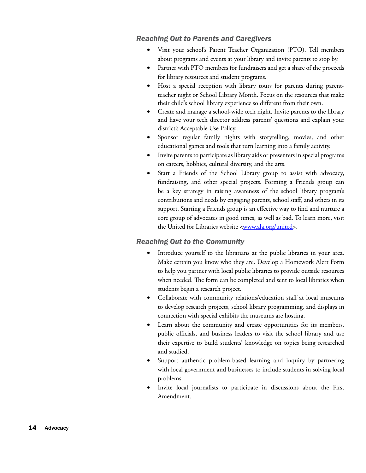## *Reaching Out to Parents and Caregivers*

- Visit your school's Parent Teacher Organization (PTO). Tell members about programs and events at your library and invite parents to stop by.
- Partner with PTO members for fundraisers and get a share of the proceeds for library resources and student programs.
- Host a special reception with library tours for parents during parentteacher night or School Library Month. Focus on the resources that make their child's school library experience so different from their own.
- Create and manage a school-wide tech night. Invite parents to the library and have your tech director address parents' questions and explain your district's Acceptable Use Policy.
- Sponsor regular family nights with storytelling, movies, and other educational games and tools that turn learning into a family activity.
- Invite parents to participate as library aids or presenters in special programs on careers, hobbies, cultural diversity, and the arts.
- Start a Friends of the School Library group to assist with advocacy, fundraising, and other special projects. Forming a Friends group can be a key strategy in raising awareness of the school library program's contributions and needs by engaging parents, school staff, and others in its support. Starting a Friends group is an effective way to find and nurture a core group of advocates in good times, as well as bad. To learn more, visit the United for Libraries website <[www.ala.org/united>](www.ala.org/united).

## *Reaching Out to the Community*

- Introduce yourself to the librarians at the public libraries in your area. Make certain you know who they are. Develop a Homework Alert Form to help you partner with local public libraries to provide outside resources when needed. The form can be completed and sent to local libraries when students begin a research project.
- Collaborate with community relations/education staff at local museums to develop research projects, school library programming, and displays in connection with special exhibits the museums are hosting.
- Learn about the community and create opportunities for its members, public officials, and business leaders to visit the school library and use their expertise to build students' knowledge on topics being researched and studied.
- Support authentic problem-based learning and inquiry by partnering with local government and businesses to include students in solving local problems.
- Invite local journalists to participate in discussions about the First Amendment.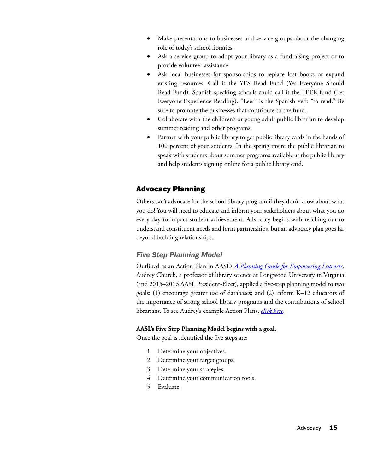- <span id="page-24-0"></span>Make presentations to businesses and service groups about the changing role of today's school libraries.
- Ask a service group to adopt your library as a fundraising project or to provide volunteer assistance.
- Ask local businesses for sponsorships to replace lost books or expand existing resources. Call it the YES Read Fund (Yes Everyone Should Read Fund). Spanish speaking schools could call it the LEER fund (Let Everyone Experience Reading). "Leer" is the Spanish verb "to read." Be sure to promote the businesses that contribute to the fund.
- Collaborate with the children's or young adult public librarian to develop summer reading and other programs.
- Partner with your public library to get public library cards in the hands of 100 percent of your students. In the spring invite the public librarian to speak with students about summer programs available at the public library and help students sign up online for a public library card.

# Advocacy Planning

Others can't advocate for the school library program if they don't know about what you do! You will need to educate and inform your stakeholders about what you do every day to impact student achievement. Advocacy begins with reaching out to understand constituent needs and form partnerships, but an advocacy plan goes far beyond building relationships.

# *Five Step Planning Model*

Outlined as an Action Plan in AASL's *[A Planning Guide for Empowering Learners](http://www.aasl.eb.com/),* Audrey Church, a professor of library science at Longwood University in Virginia (and 2015–2016 AASL President-Elect), applied a five-step planning model to two goals: (1) encourage greater use of databases; and (2) inform K–12 educators of the importance of strong school library programs and the contributions of school librarians. To see Audrey's example Action Plans, *[click here](http://www.longwood.edu/staff/churchap/Sample%20Action%20Plans.htm)*.

#### **AASL's Five Step Planning Model begins with a goal.**

Once the goal is identified the five steps are:

- 1. Determine your objectives.
- 2. Determine your target groups.
- 3. Determine your strategies.
- 4. Determine your communication tools.
- 5. Evaluate.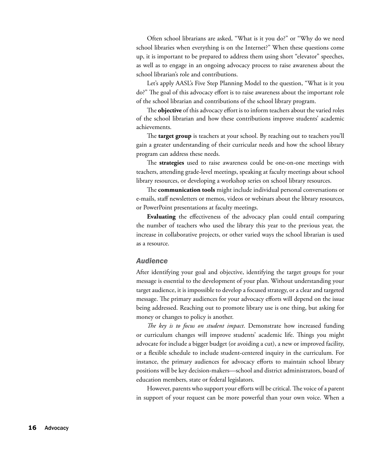Often school librarians are asked, "What is it you do?" or "Why do we need school libraries when everything is on the Internet?" When these questions come up, it is important to be prepared to address them using short "elevator" speeches, as well as to engage in an ongoing advocacy process to raise awareness about the school librarian's role and contributions.

Let's apply AASL's Five Step Planning Model to the question, "What is it you do?" The goal of this advocacy effort is to raise awareness about the important role of the school librarian and contributions of the school library program.

The **objective** of this advocacy effort is to inform teachers about the varied roles of the school librarian and how these contributions improve students' academic achievements.

The **target group** is teachers at your school. By reaching out to teachers you'll gain a greater understanding of their curricular needs and how the school library program can address these needs.

The **strategies** used to raise awareness could be one-on-one meetings with teachers, attending grade-level meetings, speaking at faculty meetings about school library resources, or developing a workshop series on school library resources.

The **communication tools** might include individual personal conversations or e-mails, staff newsletters or memos, videos or webinars about the library resources, or PowerPoint presentations at faculty meetings.

**Evaluating** the effectiveness of the advocacy plan could entail comparing the number of teachers who used the library this year to the previous year, the increase in collaborative projects, or other varied ways the school librarian is used as a resource.

#### *Audience*

After identifying your goal and objective, identifying the target groups for your message is essential to the development of your plan. Without understanding your target audience, it is impossible to develop a focused strategy, or a clear and targeted message. The primary audiences for your advocacy efforts will depend on the issue being addressed. Reaching out to promote library use is one thing, but asking for money or changes to policy is another.

*The key is to focus on student impact*. Demonstrate how increased funding or curriculum changes will improve students' academic life. Things you might advocate for include a bigger budget (or avoiding a cut), a new or improved facility, or a flexible schedule to include student-centered inquiry in the curriculum. For instance, the primary audiences for advocacy efforts to maintain school library positions will be key decision-makers—school and district administrators, board of education members, state or federal legislators.

However, parents who support your efforts will be critical. The voice of a parent in support of your request can be more powerful than your own voice. When a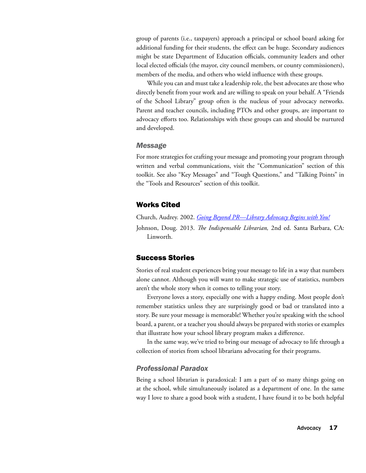<span id="page-26-0"></span>group of parents (i.e., taxpayers) approach a principal or school board asking for additional funding for their students, the effect can be huge. Secondary audiences might be state Department of Education officials, community leaders and other local elected officials (the mayor, city council members, or county commissioners), members of the media, and others who wield influence with these groups.

While you can and must take a leadership role, the best advocates are those who directly benefit from your work and are willing to speak on your behalf. A "Friends of the School Library" group often is the nucleus of your advocacy networks. Parent and teacher councils, including PTOs and other groups, are important to advocacy efforts too. Relationships with these groups can and should be nurtured and developed.

#### *Message*

For more strategies for crafting your message and promoting your program through written and verbal communications, visit the "Communication" section of this toolkit. See also "Key Messages" and "Tough Questions," and "Talking Points" in the "Tools and Resources" section of this toolkit.

#### Works Cited

Church, Audrey. 2002. *[Going Beyond PR—Library Advocacy Begins with You!](http://www.longwood.edu/staff/churchap/Sample%20Action%20Plans.htm)*

Johnson, Doug. 2013. *The Indispensable Librarian,* 2nd ed. Santa Barbara, CA: Linworth.

#### Success Stories

Stories of real student experiences bring your message to life in a way that numbers alone cannot. Although you will want to make strategic use of statistics, numbers aren't the whole story when it comes to telling your story.

Everyone loves a story, especially one with a happy ending. Most people don't remember statistics unless they are surprisingly good or bad or translated into a story. Be sure your message is memorable! Whether you're speaking with the school board, a parent, or a teacher you should always be prepared with stories or examples that illustrate how your school library program makes a difference.

In the same way, we've tried to bring our message of advocacy to life through a collection of stories from school librarians advocating for their programs.

#### *Professional Paradox*

Being a school librarian is paradoxical: I am a part of so many things going on at the school, while simultaneously isolated as a department of one. In the same way I love to share a good book with a student, I have found it to be both helpful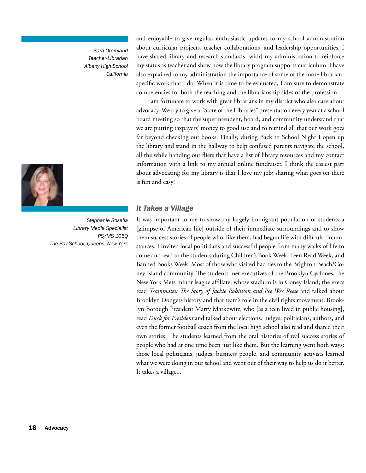*Sara Oremland Teacher-Librarian Albany High School California*



*Stephanie Rosalia Library Media Specialist PS/MS 105Q The Bay School, Queens, New York*

and enjoyable to give regular, enthusiastic updates to my school administration about curricular projects, teacher collaborations, and leadership opportunities. I have shared library and research standards [with] my administration to reinforce my status as teacher and show how the library program supports curriculum. I have also explained to my administration the importance of some of the more librarianspecific work that I do. When it is time to be evaluated, I am sure to demonstrate competencies for both the teaching and the librarianship sides of the profession.

I am fortunate to work with great librarians in my district who also care about advocacy. We try to give a "State of the Libraries" presentation every year at a school board meeting so that the superintendent, board, and community understand that we are putting taxpayers' money to good use and to remind all that our work goes far beyond checking out books. Finally, during Back to School Night I open up the library and stand in the hallway to help confused parents navigate the school, all the while handing out fliers that have a list of library resources and my contact information with a link to my annual online fundraiser. I think the easiest part about advocating for my library is that I love my job; sharing what goes on there is fun and easy!

#### *It Takes a Village*

It was important to me to show my largely immigrant population of students a [glimpse of American life] outside of their immediate surroundings and to show them success stories of people who, like them, had begun life with difficult circumstances. I invited local politicians and successful people from many walks of life to come and read to the students during Children's Book Week, Teen Read Week, and Banned Books Week. Most of those who visited had ties to the Brighton Beach/Coney Island community. The students met executives of the Brooklyn Cyclones, the New York Mets minor league affiliate, whose stadium is in Coney Island; the execs read *Teammates: The Story of Jackie Robinson and Pee Wee Reese* and talked about Brooklyn Dodgers history and that team's role in the civil rights movement. Brooklyn Borough President Marty Markowitz, who [as a teen lived in public housing], read *Duck for President* and talked about elections. Judges, politicians, authors, and even the former football coach from the local high school also read and shared their own stories. The students learned from the oral histories of real success stories of people who had at one time been just like them. But the learning went both ways: those local politicians, judges, business people, and community activists learned what we were doing in our school and went out of their way to help us do it better. It takes a village...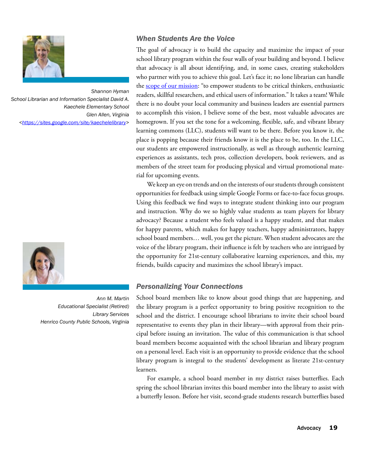

*Shannon Hyman School Librarian and Information Specialist David A. Kaechele Elementary School Glen Allen, Virginia [<https://sites.google.com/site/kaechelelibrary>](https://sites.google.com/site/kaechelelibrary)*



*Ann M. Martin Educational Specialist (Retired) Library Services Henrico County Public Schools, Virginia*

## *When Students Are the Voice*

The goal of advocacy is to build the capacity and maximize the impact of your school library program within the four walls of your building and beyond. I believe that advocacy is all about identifying, and, in some cases, creating stakeholders who partner with you to achieve this goal. Let's face it; no lone librarian can handle the [scope of our mission:](http://www.ala.org/aasl/standards-guidelines/outline) "to empower students to be critical thinkers, enthusiastic readers, skillful researchers, and ethical users of information." It takes a team! While there is no doubt your local community and business leaders are essential partners to accomplish this vision, I believe some of the best, most valuable advocates are homegrown. If you set the tone for a welcoming, flexible, safe, and vibrant library learning commons (LLC), students will want to be there. Before you know it, the place is popping because their friends know it is the place to be, too. In the LLC, our students are empowered instructionally, as well as through authentic learning experiences as assistants, tech pros, collection developers, book reviewers, and as members of the street team for producing physical and virtual promotional material for upcoming events.

We keep an eye on trends and on the interests of our students through consistent opportunities for feedback using simple Google Forms or face-to-face focus groups. Using this feedback we find ways to integrate student thinking into our program and instruction. Why do we so highly value students as team players for library advocacy? Because a student who feels valued is a happy student, and that makes for happy parents, which makes for happy teachers, happy administrators, happy school board members… well, you get the picture. When student advocates are the voice of the library program, their influence is felt by teachers who are intrigued by the opportunity for 21st-century collaborative learning experiences, and this, my friends, builds capacity and maximizes the school library's impact.

## *Personalizing Your Connections*

School board members like to know about good things that are happening, and the library program is a perfect opportunity to bring positive recognition to the school and the district. I encourage school librarians to invite their school board representative to events they plan in their library—with approval from their principal before issuing an invitation. The value of this communication is that school board members become acquainted with the school librarian and library program on a personal level. Each visit is an opportunity to provide evidence that the school library program is integral to the students' development as literate 21st-century learners.

For example, a school board member in my district raises butterflies. Each spring the school librarian invites this board member into the library to assist with a butterfly lesson. Before her visit, second-grade students research butterflies based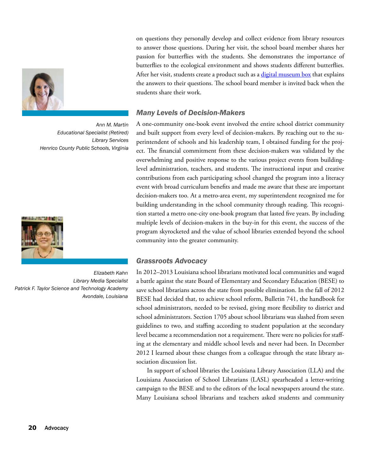

*Ann M. Martin Educational Specialist (Retired) Library Services Henrico County Public Schools, Virginia*



*Elizabeth Kahn Library Media Specialist Patrick F. Taylor Science and Technology Academy Avondale, Louisiana*

on questions they personally develop and collect evidence from library resources to answer those questions. During her visit, the school board member shares her passion for butterflies with the students. She demonstrates the importance of butterflies to the ecological environment and shows students different butterflies. After her visit, students create a product such as a [digital museum box](http://www.ala.org/aasl/advocacy/definitions) that explains the answers to their questions. The school board member is invited back when the students share their work.

#### *Many Levels of Decision-Makers*

A one-community one-book event involved the entire school district community and built support from every level of decision-makers. By reaching out to the superintendent of schools and his leadership team, I obtained funding for the project. The financial commitment from these decision-makers was validated by the overwhelming and positive response to the various project events from buildinglevel administration, teachers, and students. The instructional input and creative contributions from each participating school changed the program into a literacy event with broad curriculum benefits and made me aware that these are important decision-makers too. At a metro-area event, my superintendent recognized me for building understanding in the school community through reading. This recognition started a metro one-city one-book program that lasted five years. By including multiple levels of decision-makers in the buy-in for this event, the success of the program skyrocketed and the value of school libraries extended beyond the school community into the greater community.

#### *Grassroots Advocacy*

In 2012–2013 Louisiana school librarians motivated local communities and waged a battle against the state Board of Elementary and Secondary Education (BESE) to save school librarians across the state from possible elimination. In the fall of 2012 BESE had decided that, to achieve school reform, Bulletin 741, the handbook for school administrators, needed to be revised, giving more flexibility to district and school administrators. Section 1705 about school librarians was slashed from seven guidelines to two, and staffing according to student population at the secondary level became a recommendation not a requirement. There were no policies for staffing at the elementary and middle school levels and never had been. In December 2012 I learned about these changes from a colleague through the state library association discussion list.

In support of school libraries the Louisiana Library Association (LLA) and the Louisiana Association of School Librarians (LASL) spearheaded a letter-writing campaign to the BESE and to the editors of the local newspapers around the state. Many Louisiana school librarians and teachers asked students and community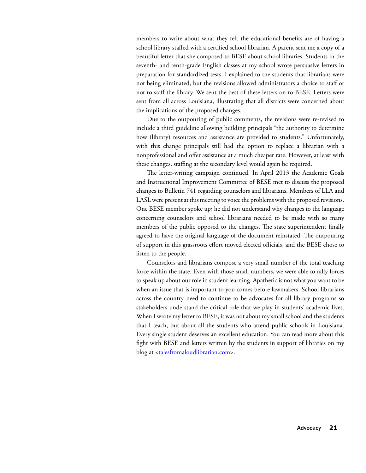members to write about what they felt the educational benefits are of having a school library staffed with a certified school librarian. A parent sent me a copy of a beautiful letter that she composed to BESE about school libraries. Students in the seventh- and tenth-grade English classes at my school wrote persuasive letters in preparation for standardized tests. I explained to the students that librarians were not being eliminated, but the revisions allowed administrators a choice to staff or not to staff the library. We sent the best of these letters on to BESE. Letters were sent from all across Louisiana, illustrating that all districts were concerned about the implications of the proposed changes.

Due to the outpouring of public comments, the revisions were re-revised to include a third guideline allowing building principals "the authority to determine how (library) resources and assistance are provided to students." Unfortunately, with this change principals still had the option to replace a librarian with a nonprofessional and offer assistance at a much cheaper rate. However, at least with these changes, staffing at the secondary level would again be required.

The letter-writing campaign continued. In April 2013 the Academic Goals and Instructional Improvement Committee of BESE met to discuss the proposed changes to Bulletin 741 regarding counselors and librarians. Members of LLA and LASL were present at this meeting to voice the problems with the proposed revisions. One BESE member spoke up; he did not understand why changes to the language concerning counselors and school librarians needed to be made with so many members of the public opposed to the changes. The state superintendent finally agreed to have the original language of the document reinstated. The outpouring of support in this grassroots effort moved elected officials, and the BESE chose to listen to the people.

Counselors and librarians compose a very small number of the total teaching force within the state. Even with those small numbers, we were able to rally forces to speak up about our role in student learning. Apathetic is not what you want to be when an issue that is important to you comes before lawmakers. School librarians across the country need to continue to be advocates for all library programs so stakeholders understand the critical role that we play in students' academic lives. When I wrote my letter to BESE, it was not about my small school and the students that I teach, but about all the students who attend public schools in Louisiana. Every single student deserves an excellent education. You can read more about this fight with BESE and letters written by the students in support of libraries on my blog at [<talesfromaloudlibrarian.com](http://www.talesfromaloudlibrarian.com/search/label/BESE)>.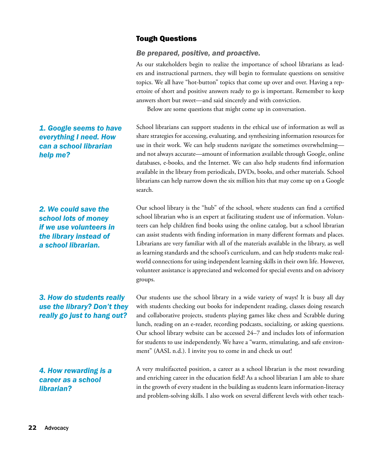# Tough Questions

#### *Be prepared, positive, and proactive.*

As our stakeholders begin to realize the importance of school librarians as leaders and instructional partners, they will begin to formulate questions on sensitive topics. We all have "hot-button" topics that come up over and over. Having a repertoire of short and positive answers ready to go is important. Remember to keep answers short but sweet—and said sincerely and with conviction.

Below are some questions that might come up in conversation.

School librarians can support students in the ethical use of information as well as share strategies for accessing, evaluating, and synthesizing information resources for use in their work. We can help students navigate the sometimes overwhelming and not always accurate—amount of information available through Google, online databases, e-books, and the Internet. We can also help students find information available in the library from periodicals, DVDs, books, and other materials. School librarians can help narrow down the six million hits that may come up on a Google search.

Our school library is the "hub" of the school, where students can find a certified school librarian who is an expert at facilitating student use of information. Volunteers can help children find books using the online catalog, but a school librarian can assist students with finding information in many different formats and places. Librarians are very familiar with all of the materials available in the library, as well as learning standards and the school's curriculum, and can help students make realworld connections for using independent learning skills in their own life. However, volunteer assistance is appreciated and welcomed for special events and on advisory groups.

Our students use the school library in a wide variety of ways! It is busy all day with students checking out books for independent reading, classes doing research and collaborative projects, students playing games like chess and Scrabble during lunch, reading on an e-reader, recording podcasts, socializing, or asking questions. Our school library website can be accessed 24–7 and includes lots of information for students to use independently. We have a "warm, stimulating, and safe environment" (AASL n.d.). I invite you to come in and check us out!

A very multifaceted position, a career as a school librarian is the most rewarding and enriching career in the education field! As a school librarian I am able to share in the growth of every student in the building as students learn information-literacy and problem-solving skills. I also work on several different levels with other teach-

<span id="page-31-0"></span>*1. Google seems to have everything I need. How can a school librarian help me?*

*2. We could save the school lots of money if we use volunteers in the library instead of a school librarian.*

*3. How do students really use the library? Don't they really go just to hang out?*

*4. How rewarding is a career as a school librarian?*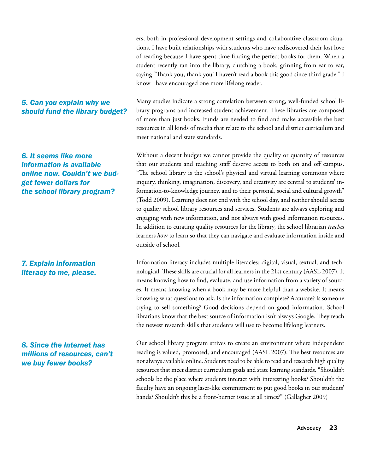ers, both in professional development settings and collaborative classroom situations. I have built relationships with students who have rediscovered their lost love of reading because I have spent time finding the perfect books for them. When a student recently ran into the library, clutching a book, grinning from ear to ear, saying "Thank you, thank you! I haven't read a book this good since third grade!" I know I have encouraged one more lifelong reader.

#### *5. Can you explain why we should fund the library budget?*

Many studies indicate a strong correlation between strong, well-funded school library programs and increased student achievement. These libraries are composed of more than just books. Funds are needed to find and make accessible the best resources in all kinds of media that relate to the school and district curriculum and meet national and state standards.

Without a decent budget we cannot provide the quality or quantity of resources that our students and teaching staff deserve access to both on and off campus. "The school library is the school's physical and virtual learning commons where inquiry, thinking, imagination, discovery, and creativity are central to students' information-to-knowledge journey, and to their personal, social and cultural growth" (Todd 2009). Learning does not end with the school day, and neither should access to quality school library resources and services. Students are always exploring and engaging with new information, and not always with good information resources. In addition to curating quality resources for the library, the school librarian *teaches* learners *how* to learn so that they can navigate and evaluate information inside and outside of school.

Information literacy includes multiple literacies: digital, visual, textual, and technological. These skills are crucial for all learners in the 21st century (AASL 2007). It means knowing how to find, evaluate, and use information from a variety of sources. It means knowing when a book may be more helpful than a website. It means knowing what questions to ask. Is the information complete? Accurate? Is someone trying to sell something? Good decisions depend on good information. School librarians know that the best source of information isn't always Google. They teach the newest research skills that students will use to become lifelong learners.

Our school library program strives to create an environment where independent reading is valued, promoted, and encouraged (AASL 2007). The best resources are not always available online. Students need to be able to read and research high quality resources that meet district curriculum goals and state learning standards. "Shouldn't schools be the place where students interact with interesting books? Shouldn't the faculty have an ongoing laser-like commitment to put good books in our students' hands? Shouldn't this be a front-burner issue at all times?" (Gallagher 2009)

*6. It seems like more information is available online now. Couldn't we budget fewer dollars for the school library program?*

# *7. Explain information literacy to me, please.*

*8. Since the Internet has millions of resources, can't we buy fewer books?*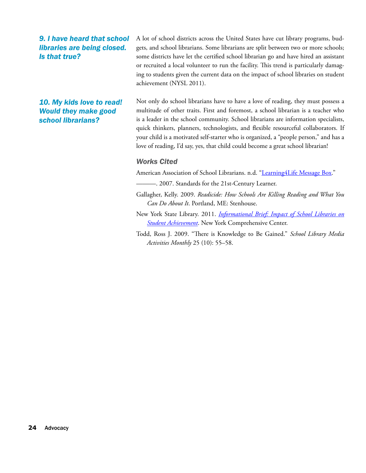*9. I have heard that school libraries are being closed. Is that true?*

*10. My kids love to read! Would they make good school librarians?*

A lot of school districts across the United States have cut library programs, budgets, and school librarians. Some librarians are split between two or more schools; some districts have let the certified school librarian go and have hired an assistant or recruited a local volunteer to run the facility. This trend is particularly damaging to students given the current data on the impact of school libraries on student achievement (NYSL 2011).

Not only do school librarians have to have a love of reading, they must possess a multitude of other traits. First and foremost, a school librarian is a teacher who is a leader in the school community. School librarians are information specialists, quick thinkers, planners, technologists, and flexible resourceful collaborators. If your child is a motivated self-starter who is organized, a "people person," and has a love of reading, I'd say, yes, that child could become a great school librarian!

#### *Works Cited*

American Association of School Librarians. n.d. "Learning 4 Life Message Box."

- ———. 2007. Standards for the 21st-Century Learner.
- Gallagher, Kelly. 2009. *Readicide: How Schools Are Killing Reading and What You Can Do About It*. Portland, ME: Stenhouse.
- New York State Library. 2011. *[Informational Brief: Impact of School Libraries on](http://www.nysl.nysed.gov/libdev/nyla/nycc_school_library_brief.pdf) [Student Achievement](http://www.nysl.nysed.gov/libdev/nyla/nycc_school_library_brief.pdf)*. New York Comprehensive Center.
- Todd, Ross J. 2009. "There is Knowledge to Be Gained." *School Library Media Activities Monthly* 25 (10): 55–58.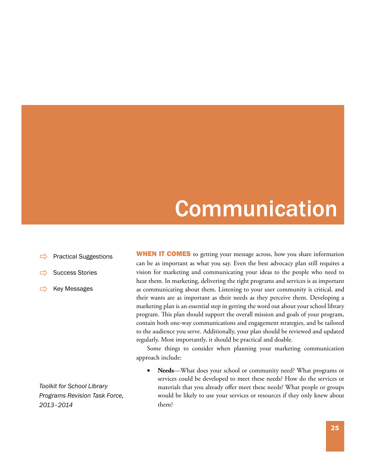# Communication

- <span id="page-34-0"></span>[Practical Suggestions](#page-36-0)
- [Success Stories](#page-39-0)
- [Key Messages](#page-41-0)

**WHEN IT COMES** to getting your message across, how you share information can be as important as what you say. Even the best advocacy plan still requires a vision for marketing and communicating your ideas to the people who need to hear them. In marketing, delivering the right programs and services is as important as communicating about them. Listening to your user community is critical, and their wants are as important as their needs as they perceive them. Developing a marketing plan is an essential step in getting the word out about your school library program. This plan should support the overall mission and goals of your program, contain both one-way communications and engagement strategies, and be tailored to the audience you serve. Additionally, your plan should be reviewed and updated regularly. Most importantly, it should be practical and doable.

Some things to consider when planning your marketing communication approach include:

Needs—What does your school or community need? What programs or services could be developed to meet these needs? How do the services or materials that you already offer meet these needs? What people or groups would be likely to use your services or resources if they only knew about them?

*Toolkit for School Library Programs Revision Task Force, 2013–2014*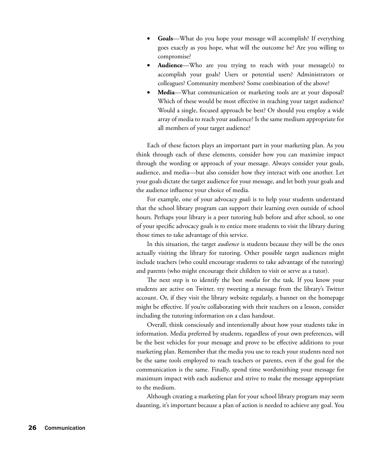- Goals—What do you hope your message will accomplish? If everything goes exactly as you hope, what will the outcome be? Are you willing to compromise?
- **Audience**—Who are you trying to reach with your message(s) to accomplish your goals? Users or potential users? Administrators or colleagues? Community members? Some combination of the above?
- **Media—What communication or marketing tools are at your disposal?** Which of these would be most effective in reaching your target audience? Would a single, focused approach be best? Or should you employ a wide array of media to reach your audience? Is the same medium appropriate for all members of your target audience?

Each of these factors plays an important part in your marketing plan. As you think through each of these elements, consider how you can maximize impact through the wording or approach of your message. Always consider your goals, audience, and media—but also consider how they interact with one another. Let your goals dictate the target audience for your message, and let both your goals and the audience influence your choice of media.

For example, one of your advocacy *goals* is to help your students understand that the school library program can support their learning even outside of school hours. Perhaps your library is a peer tutoring hub before and after school, so one of your specific advocacy goals is to entice more students to visit the library during those times to take advantage of this service.

In this situation, the target *audience* is students because they will be the ones actually visiting the library for tutoring. Other possible target audiences might include teachers (who could encourage students to take advantage of the tutoring) and parents (who might encourage their children to visit or serve as a tutor).

The next step is to identify the best *media* for the task. If you know your students are active on Twitter, try tweeting a message from the library's Twitter account. Or, if they visit the library website regularly, a banner on the homepage might be effective. If you're collaborating with their teachers on a lesson, consider including the tutoring information on a class handout.

Overall, think consciously and intentionally about how your students take in information. Media preferred by students, regardless of your own preferences, will be the best vehicles for your message and prove to be effective additions to your marketing plan. Remember that the media you use to reach your students need not be the same tools employed to reach teachers or parents, even if the goal for the communication is the same. Finally, spend time wordsmithing your message for maximum impact with each audience and strive to make the message appropriate to the medium.

Although creating a marketing plan for your school library program may seem daunting, it's important because a plan of action is needed to achieve any goal. You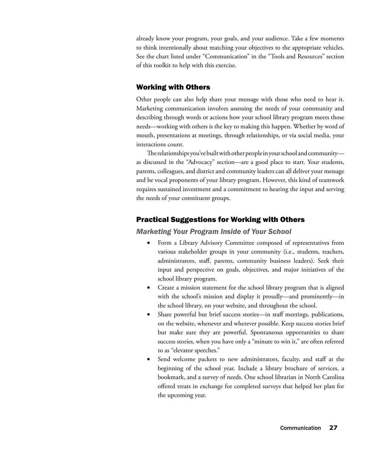already know your program, your goals, and your audience. Take a few moments to think intentionally about matching your objectives to the appropriate vehicles. See the chart listed under "Communication" in the "Tools and Resources" section of this toolkit to help with this exercise.

# Working with Others

Other people can also help share your message with those who need to hear it. Marketing communication involves assessing the needs of your community and describing through words or actions how your school library program meets those needs—working with others is the key to making this happen. Whether by word of mouth, presentations at meetings, through relationships, or via social media, your interactions count.

The relationships you've built with other people in your school and community as discussed in the "Advocacy" section—are a good place to start. Your students, parents, colleagues, and district and community leaders can all deliver your message and be vocal proponents of your library program. However, this kind of teamwork requires sustained investment and a commitment to hearing the input and serving the needs of your constituent groups.

# Practical Suggestions for Working with Others

#### *Marketing Your Program Inside of Your School*

- • Form a Library Advisory Committee composed of representatives from various stakeholder groups in your community (i.e., students, teachers, administrators, staff, parents, community business leaders). Seek their input and perspective on goals, objectives, and major initiatives of the school library program.
- Create a mission statement for the school library program that is aligned with the school's mission and display it proudly—and prominently—in the school library, on your website, and throughout the school.
- Share powerful but brief success stories—in staff meetings, publications, on the website, whenever and wherever possible. Keep success stories brief but make sure they are powerful. Spontaneous opportunities to share success stories, when you have only a "minute to win it," are often referred to as "elevator speeches."
- Send welcome packets to new administrators, faculty, and staff at the beginning of the school year. Include a library brochure of services, a bookmark, and a survey of needs. One school librarian in North Carolina offered treats in exchange for completed surveys that helped her plan for the upcoming year.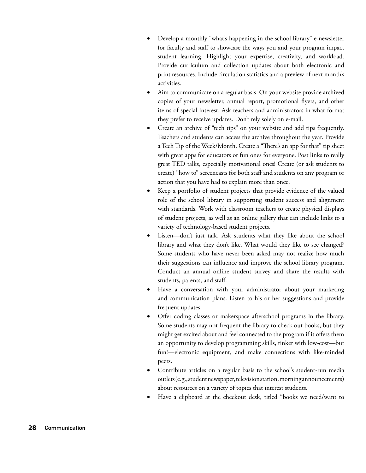- Develop a monthly "what's happening in the school library" e-newsletter for faculty and staff to showcase the ways you and your program impact student learning. Highlight your expertise, creativity, and workload. Provide curriculum and collection updates about both electronic and print resources. Include circulation statistics and a preview of next month's activities.
- Aim to communicate on a regular basis. On your website provide archived copies of your newsletter, annual report, promotional flyers, and other items of special interest. Ask teachers and administrators in what format they prefer to receive updates. Don't rely solely on e-mail.
- Create an archive of "tech tips" on your website and add tips frequently. Teachers and students can access the archive throughout the year. Provide a Tech Tip of the Week/Month. Create a "There's an app for that" tip sheet with great apps for educators or fun ones for everyone. Post links to really great TED talks, especially motivational ones! Create (or ask students to create) "how to" screencasts for both staff and students on any program or action that you have had to explain more than once.
- Keep a portfolio of student projects that provide evidence of the valued role of the school library in supporting student success and alignment with standards. Work with classroom teachers to create physical displays of student projects, as well as an online gallery that can include links to a variety of technology-based student projects.
- Listen—don't just talk. Ask students what they like about the school library and what they don't like. What would they like to see changed? Some students who have never been asked may not realize how much their suggestions can influence and improve the school library program. Conduct an annual online student survey and share the results with students, parents, and staff.
- Have a conversation with your administrator about your marketing and communication plans. Listen to his or her suggestions and provide frequent updates.
- Offer coding classes or makerspace afterschool programs in the library. Some students may not frequent the library to check out books, but they might get excited about and feel connected to the program if it offers them an opportunity to develop programming skills, tinker with low-cost—but fun!—electronic equipment, and make connections with like-minded peers.
- Contribute articles on a regular basis to the school's student-run media outlets (e.g., student newspaper, television station, morning announcements) about resources on a variety of topics that interest students.
- Have a clipboard at the checkout desk, titled "books we need/want to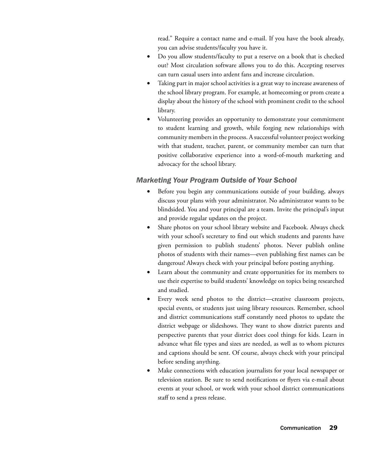read." Require a contact name and e-mail. If you have the book already, you can advise students/faculty you have it.

- Do you allow students/faculty to put a reserve on a book that is checked out? Most circulation software allows you to do this. Accepting reserves can turn casual users into ardent fans and increase circulation.
- Taking part in major school activities is a great way to increase awareness of the school library program. For example, at homecoming or prom create a display about the history of the school with prominent credit to the school library.
- Volunteering provides an opportunity to demonstrate your commitment to student learning and growth, while forging new relationships with community members in the process. A successful volunteer project working with that student, teacher, parent, or community member can turn that positive collaborative experience into a word-of-mouth marketing and advocacy for the school library.

# *Marketing Your Program Outside of Your School*

- Before you begin any communications outside of your building, always discuss your plans with your administrator. No administrator wants to be blindsided. You and your principal are a team. Invite the principal's input and provide regular updates on the project.
- Share photos on your school library website and Facebook. Always check with your school's secretary to find out which students and parents have given permission to publish students' photos. Never publish online photos of students with their names—even publishing first names can be dangerous! Always check with your principal before posting anything.
- Learn about the community and create opportunities for its members to use their expertise to build students' knowledge on topics being researched and studied.
- Every week send photos to the district—creative classroom projects, special events, or students just using library resources. Remember, school and district communications staff constantly need photos to update the district webpage or slideshows. They want to show district parents and perspective parents that your district does cool things for kids. Learn in advance what file types and sizes are needed, as well as to whom pictures and captions should be sent. Of course, always check with your principal before sending anything.
- Make connections with education journalists for your local newspaper or television station. Be sure to send notifications or flyers via e-mail about events at your school, or work with your school district communications staff to send a press release.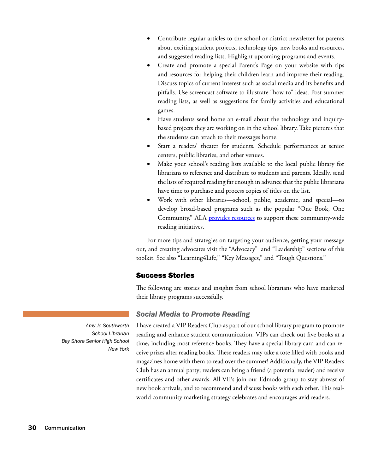- Contribute regular articles to the school or district newsletter for parents about exciting student projects, technology tips, new books and resources, and suggested reading lists. Highlight upcoming programs and events.
- Create and promote a special Parent's Page on your website with tips and resources for helping their children learn and improve their reading. Discuss topics of current interest such as social media and its benefits and pitfalls. Use screencast software to illustrate "how to" ideas. Post summer reading lists, as well as suggestions for family activities and educational games.
- Have students send home an e-mail about the technology and inquirybased projects they are working on in the school library. Take pictures that the students can attach to their messages home.
- Start a readers' theater for students. Schedule performances at senior centers, public libraries, and other venues.
- Make your school's reading lists available to the local public library for librarians to reference and distribute to students and parents. Ideally, send the lists of required reading far enough in advance that the public librarians have time to purchase and process copies of titles on the list.
- Work with other libraries—school, public, academic, and special—to develop broad-based programs such as the popular "One Book, One Community." ALA [provides resources](http://www.ala.org/programming/onebook) to support these community-wide reading initiatives.

For more tips and strategies on targeting your audience, getting your message out, and creating advocates visit the "Advocacy" and "Leadership" sections of this toolkit. See also "Learning4Life," "Key Messages," and "Tough Questions."

# Success Stories

The following are stories and insights from school librarians who have marketed their library programs successfully.

# *Social Media to Promote Reading*

I have created a VIP Readers Club as part of our school library program to promote reading and enhance student communication. VIPs can check out five books at a time, including most reference books. They have a special library card and can receive prizes after reading books. These readers may take a tote filled with books and magazines home with them to read over the summer! Additionally, the VIP Readers Club has an annual party; readers can bring a friend (a potential reader) and receive certificates and other awards. All VIPs join our Edmodo group to stay abreast of new book arrivals, and to recommend and discuss books with each other. This realworld community marketing strategy celebrates and encourages avid readers.

*Amy Jo Southworth School Librarian Bay Shore Senior High School New York*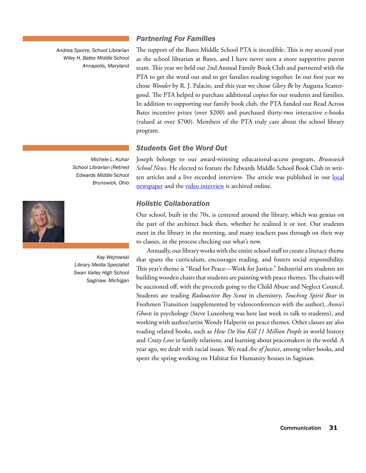*Andrea Sporre, School Librarian Wiley H. Bates Middle School Annapolis, Maryland*

# *Partnering For Families*

The support of the Bates Middle School PTA is incredible. This is my second year as the school librarian at Bates, and I have never seen a more supportive parent team. This year we held our 2nd Annual Family Book Club and partnered with the PTA to get the word out and to get families reading together. In our first year we chose *Wonder* by R. J. Palacio, and this year we chose *Glory Be* by Augusta Scattergood. The PTA helped to purchase additional copies for our students and families. In addition to supporting our family book club, the PTA funded our Read Across Bates incentive prizes (over \$200) and purchased thirty-two interactive e-books (valued at over \$700). Members of the PTA truly care about the school library program.

# *Students Get the Word Out*

*Michele L. Kuhar School Librarian (Retired Edwards Middle School Brunswick, Ohio*



*Kay Wejrowski Library Media Specialist Swan Valley High School Saginaw, Michigan*

Joseph belongs to our award-winning educational-access program, *Brunswick School News*. He elected to feature the Edwards Middle School Book Club in written articles and a live recorded interview. The article was published in our local [newspaper](http://www.thepostnewspapers.com/brunswick/school/article_2f7f1142-b61c-5dc0-af8f-a6d729969ab7.html) and the [video interview](http://thebeat.pegcentral.com/player.php?video=d30ee2064660dc58f84b6a1f558a29c7) is archived online.

# *Holistic Collaboration*

Our school, built in the 70s, is centered around the library, which was genius on the part of the architect back then, whether he realized it or not. Our students meet in the library in the morning, and many teachers pass through on their way to classes, in the process checking out what's new.

Annually, our library works with the entire school staff to create a literacy theme that spans the curriculum, encourages reading, and fosters social responsibility. This year's theme is "Read for Peace—Work for Justice." Industrial arts students are building wooden chairs that students are painting with peace themes. The chairs will be auctioned off, with the proceeds going to the Child Abuse and Neglect Council. Students are reading *Radioactive Boy Scout* in chemistry, *Touching Spirit Bear* in Freshmen Transition (supplemented by videoconferences with the author), *Annie's Ghosts* in psychology (Steve Luxenberg was here last week to talk to students), and working with author/artist Wendy Halperin on peace themes. Other classes are also reading related books, such as *How Do You Kill 11 Million People* in world history and *Crazy Love* in family relations, and learning about peacemakers in the world. A year ago, we dealt with racial issues. We read *Arc of Justice*, among other books, and spent the spring working on Habitat for Humanity houses in Saginaw.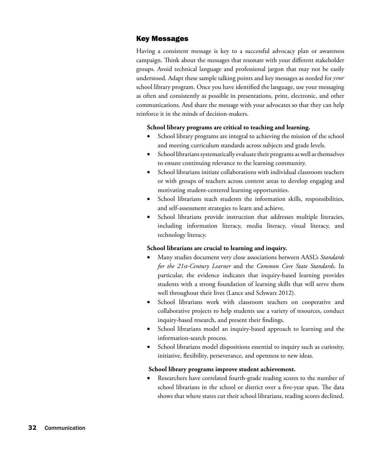# Key Messages

Having a consistent message is key to a successful advocacy plan or awareness campaign. Think about the messages that resonate with your different stakeholder groups. Avoid technical language and professional jargon that may not be easily understood. Adapt these sample talking points and key messages as needed for *your* school library program. Once you have identified the language, use your messaging as often and consistently as possible in presentations, print, electronic, and other communications. And share the message with your advocates so that they can help reinforce it in the minds of decision-makers.

### **School library programs are critical to teaching and learning.**

- School library programs are integral to achieving the mission of the school and meeting curriculum standards across subjects and grade levels.
- School librarians systematically evaluate their programs as well as themselves to ensure continuing relevance to the learning community.
- School librarians initiate collaborations with individual classroom teachers or with groups of teachers across content areas to develop engaging and motivating student-centered learning opportunities.
- School librarians teach students the information skills, responsibilities, and self-assessment strategies to learn and achieve.
- School librarians provide instruction that addresses multiple literacies, including information literacy, media literacy, visual literacy, and technology literacy.

### **School librarians are crucial to learning and inquiry.**

- Many studies document very close associations between AASL's *Standards for the 21st-Century Learner* and the *Common Core State Standards*. In particular, the evidence indicates that inquiry-based learning provides students with a strong foundation of learning skills that will serve them well throughout their lives (Lance and Schwarz 2012).
- School librarians work with classroom teachers on cooperative and collaborative projects to help students use a variety of resources, conduct inquiry-based research, and present their findings.
- School librarians model an inquiry-based approach to learning and the information-search process.
- School librarians model dispositions essential to inquiry such as curiosity, initiative, flexibility, perseverance, and openness to new ideas.

### **School library programs improve student achievement.**

Researchers have correlated fourth-grade reading scores to the number of school librarians in the school or district over a five-year span. The data shows that where states cut their school librarians, reading scores declined.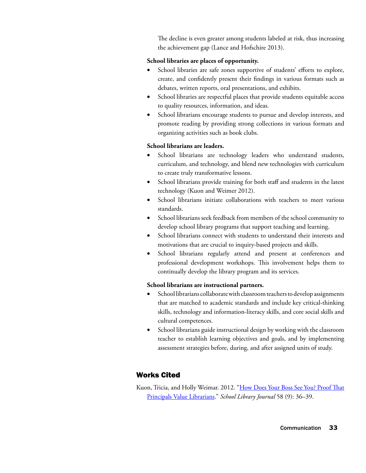The decline is even greater among students labeled at risk, thus increasing the achievement gap (Lance and Hofschire 2013).

## **School libraries are places of opportunity.**

- School libraries are safe zones supportive of students' efforts to explore, create, and confidently present their findings in various formats such as debates, written reports, oral presentations, and exhibits.
- School libraries are respectful places that provide students equitable access to quality resources, information, and ideas.
- • School librarians encourage students to pursue and develop interests, and promote reading by providing strong collections in various formats and organizing activities such as book clubs.

# **School librarians are leaders.**

- School librarians are technology leaders who understand students, curriculum, and technology, and blend new technologies with curriculum to create truly transformative lessons.
- School librarians provide training for both staff and students in the latest technology (Kuon and Weimer 2012).
- School librarians initiate collaborations with teachers to meet various standards.
- School librarians seek feedback from members of the school community to develop school library programs that support teaching and learning.
- School librarians connect with students to understand their interests and motivations that are crucial to inquiry-based projects and skills.
- School librarians regularly attend and present at conferences and professional development workshops. This involvement helps them to continually develop the library program and its services.

# **School librarians are instructional partners.**

- School librarians collaborate with classroom teachers to develop assignments that are matched to academic standards and include key critical-thinking skills, technology and information-literacy skills, and core social skills and cultural competences.
- School librarians guide instructional design by working with the classroom teacher to establish learning objectives and goals, and by implementing assessment strategies before, during, and after assigned units of study.

# Works Cited

Kuon, Tricia, and Holly Weimar. 2012. "[How Does Your Boss See You? Proof That](http://www.slj.com/2012/09/careers/how-does-your-boss-see-you-proof-that-principals-value-librarians/) [Principals Value Librarians](http://www.slj.com/2012/09/careers/how-does-your-boss-see-you-proof-that-principals-value-librarians/)." *School Library Journal* 58 (9): 36–39.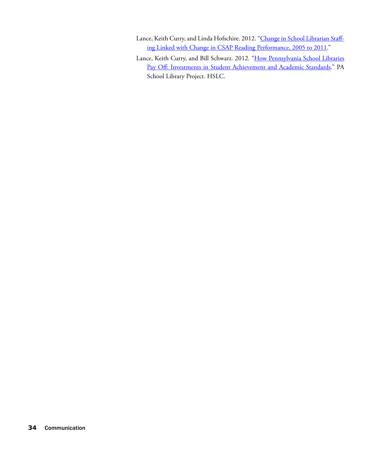- Lance, Keith Curry, and Linda Hofschire. 2012. ["Change in School Librarian Staff](http://www.lrs.org/documents/closer_look/CO4_2012_Closer_Look_Report.pdf)[ing Linked with Change in CSAP Reading Performance, 2005 to 2011](http://www.lrs.org/documents/closer_look/CO4_2012_Closer_Look_Report.pdf)."
- Lance, Keith Curry, and Bill Schwarz. 2012. ["How Pennsylvania School Libraries](http://paschoollibraryproject.org/research) [Pay Off: Investments in Student Achievement and Academic Standards](http://paschoollibraryproject.org/research)." PA School Library Project. HSLC.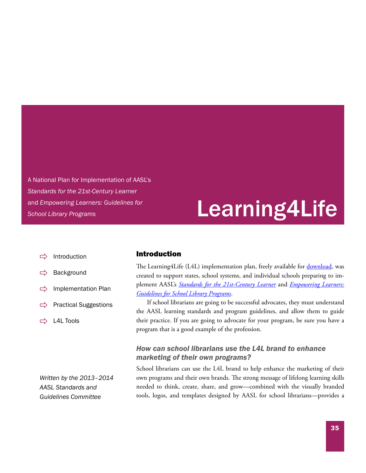A National Plan for Implementation of AASL's *Standards for the 21st-Century Learner* and *Empowering Learners: Guidelines for School Library Programs*

# Learning4Life

- Introduction
- [Background](#page-45-0)
- $\Rightarrow$  [Implementation Plan](#page-46-0)
- $\Rightarrow$  [Practical Suggestions](#page-47-0)
- $\Rightarrow$  L4L [Tools](#page-48-0)

*Written by the 2013–2014 AASL Standards and Guidelines Committee*

### Introduction

The Learning4Life (L4L) implementation plan, freely available for [download](http://www.ala.org/aasl/sites/ala.org.aasl/files/content/guidelinesandstandards/learning4life/document/l4lplan.pdf), was created to support states, school systems, and individual schools preparing to implement AASL's *[Standards for the 21st-Century Learner](http://www.ala.org/aasl/standards-guidelines/learning-standards)* and *[Empowering Learners:](http://www.ala.org/aasl/standards-guidelines/program-guidelines) [Guidelines for School Library Programs](http://www.ala.org/aasl/standards-guidelines/program-guidelines)*.

If school librarians are going to be successful advocates, they must understand the AASL learning standards and program guidelines, and allow them to guide their practice. If you are going to advocate for your program, be sure you have a program that is a good example of the profession.

# *How can school librarians use the L4L brand to enhance marketing of their own programs?*

School librarians can use the L4L brand to help enhance the marketing of their own programs and their own brands. The strong message of lifelong learning skills needed to think, create, share, and grow—combined with the visually branded tools, logos, and templates designed by AASL for school librarians—provides a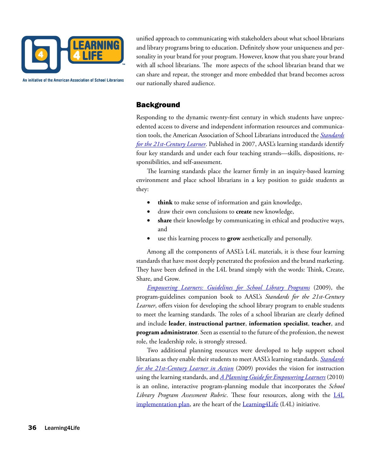<span id="page-45-0"></span>

An initiative of the American Association of School Librarians

unified approach to communicating with stakeholders about what school librarians and library programs bring to education. Definitely show your uniqueness and personality in your brand for your program. However, know that you share your brand with all school librarians. The more aspects of the school librarian brand that we can share and repeat, the stronger and more embedded that brand becomes across our nationally shared audience.

# **Background**

Responding to the dynamic twenty-first century in which students have unprecedented access to diverse and independent information resources and communication tools, the American Association of School Librarians introduced the *[Standards](http://www.ala.org/aasl/standards-guidelines/learning-standards)  [for the 21st-Century Learner](http://www.ala.org/aasl/standards-guidelines/learning-standards)*. Published in 2007, AASL's learning standards identify four key standards and under each four teaching strands—skills, dispositions, responsibilities, and self-assessment.

The learning standards place the learner firmly in an inquiry-based learning environment and place school librarians in a key position to guide students as they:

- **think** to make sense of information and gain knowledge,
- • draw their own conclusions to **create** new knowledge,
- share their knowledge by communicating in ethical and productive ways, and
- use this learning process to **grow** aesthetically and personally.

Among all the components of AASL's L4L materials, it is these four learning standards that have most deeply penetrated the profession and the brand marketing. They have been defined in the L4L brand simply with the words: Think, Create, Share, and Grow.

*[Empowering Learners: Guidelines for School Library Programs](http://www.ala.org/aasl/standards-guidelines/program-guidelines)* (2009), the program-guidelines companion book to AASL's *Standards for the 21st-Century Learner*, offers vision for developing the school library program to enable students to meet the learning standards. The roles of a school librarian are clearly defined and include **leader**, **instructional partner**, **information specialist**, **teacher**, and **program administrator**. Seen as essential to the future of the profession, the newest role, the leadership role, is strongly stressed.

Two additional planning resources were developed to help support school librarians as they enable their students to meet AASL's learning standards. *[Standards](http://www.ala.org/aasl/standards-guidelines/in-action)  [for the 21st-Century Learner in Action](http://www.ala.org/aasl/standards-guidelines/in-action)* (2009) provides the vision for instruction using the learning standards, and *[A Planning Guide for Empowering Learners](http://www.ala.org/aasl/standards-guidelines/planning-guide)* (2010) is an online, interactive program-planning module that incorporates the *School Library Program Assessment Rubric*. These four resources, along with the [L4L](http://www.ala.org/aasl/learning4life/implementation-plan)  [implementation plan](http://www.ala.org/aasl/learning4life/implementation-plan), are the heart of the **Learning 4Life** (LAL) initiative.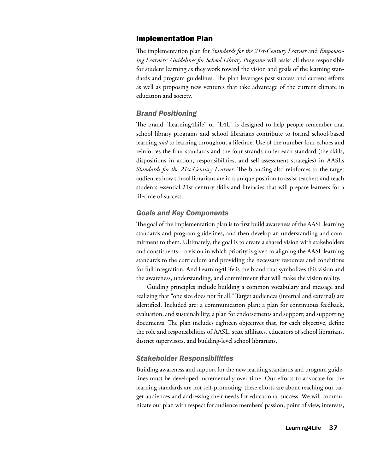## <span id="page-46-0"></span>Implementation Plan

The implementation plan for *Standards for the 21st-Century Learner* and *Empowering Learners: Guidelines for School Library Programs* will assist all those responsible for student learning as they work toward the vision and goals of the learning standards and program guidelines. The plan leverages past success and current efforts as well as proposing new ventures that take advantage of the current climate in education and society.

## *Brand Positioning*

The brand "Learning4Life" or "L4L" is designed to help people remember that school library programs and school librarians contribute to formal school-based learning *and* to learning throughout a lifetime. Use of the number four echoes and reinforces the four standards and the four strands under each standard (the skills, dispositions in action, responsibilities, and self-assessment strategies) in AASL's *Standards for the 21st-Century Learner*. The branding also reinforces to the target audiences how school librarians are in a unique position to assist teachers and teach students essential 21st-century skills and literacies that will prepare learners for a lifetime of success.

## *Goals and Key Components*

The goal of the implementation plan is to first build awareness of the AASL learning standards and program guidelines, and then develop an understanding and commitment to them. Ultimately, the goal is to create a shared vision with stakeholders and constituents—a vision in which priority is given to aligning the AASL learning standards to the curriculum and providing the necessary resources and conditions for full integration. And Learning4Life is the brand that symbolizes this vision and the awareness, understanding, and commitment that will make the vision reality.

Guiding principles include building a common vocabulary and message and realizing that "one size does not fit all." Target audiences (internal and external) are identified. Included are: a communication plan; a plan for continuous feedback, evaluation, and sustainability; a plan for endorsements and support; and supporting documents. The plan includes eighteen objectives that, for each objective, define the role and responsibilities of AASL, state affiliates, educators of school librarians, district supervisors, and building-level school librarians.

### *Stakeholder Responsibilities*

Building awareness and support for the new learning standards and program guidelines must be developed incrementally over time. Our efforts to advocate for the learning standards are not self-promoting; these efforts are about reaching our target audiences and addressing their needs for educational success. We will communicate our plan with respect for audience members' passion, point of view, interests,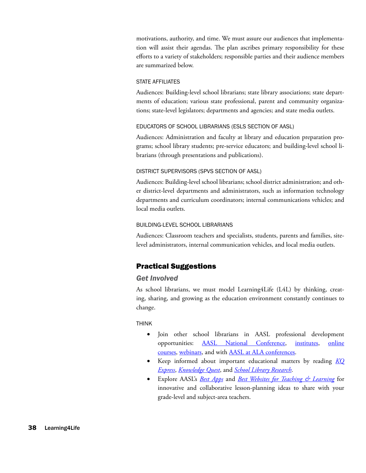<span id="page-47-0"></span>motivations, authority, and time. We must assure our audiences that implementation will assist their agendas. The plan ascribes primary responsibility for these efforts to a variety of stakeholders; responsible parties and their audience members are summarized below.

#### STATE AFFILIATES

Audiences: Building-level school librarians; state library associations; state departments of education; various state professional, parent and community organizations; state-level legislators; departments and agencies; and state media outlets.

#### Educators of School Librarians (ESLS Section of AASL)

Audiences: Administration and faculty at library and education preparation programs; school library students; pre-service educators; and building-level school librarians (through presentations and publications).

#### District Supervisors (SPVS Section of AASL)

Audiences: Building-level school librarians; school district administration; and other district-level departments and administrators, such as information technology departments and curriculum coordinators; internal communications vehicles; and local media outlets.

#### Building-Level School Librarians

Audiences: Classroom teachers and specialists, students, parents and families, sitelevel administrators, internal communication vehicles, and local media outlets.

## Practical Suggestions

#### *Get Involved*

As school librarians, we must model Learning4Life (L4L) by thinking, creating, sharing, and growing as the education environment constantly continues to change.

#### **THINK**

- • Join other school librarians in AASL professional development opportunities: [AASL National Conference](http://national.aasl.org/), [institutes](http://www.ala.org/aasl/learning/institutes), [online](http://www.ala.org/aasl/conferencesandevents/eacademy/eacademy) [courses](http://www.ala.org/aasl/conferencesandevents/eacademy/eacademy), [webinars](http://www.ala.org/aasl/ecollab), and with [AASL at ALA conferences](http://www.ala.org/aasl/conferences).
- • Keep informed about important educational matters by reading *[KQ](http://www.ala.org/aasl/pubs/KQexpress)  [Express](http://www.ala.org/aasl/pubs/KQexpress)*, *[Knowledge Quest](http://knowledgequest.aasl.org/)*, and *[School Library Research](http://www.ala.org/aasl/slr)*.
- • Explore AASL's *[Best Apps](http://www.ala.org/aasl/standards-guidelines/best-apps)* and *[Best Websites for Teaching & Learning](http://www.ala.org/aasl/standards-guidelines/best-websites/2014)* for innovative and collaborative lesson-planning ideas to share with your grade-level and subject-area teachers.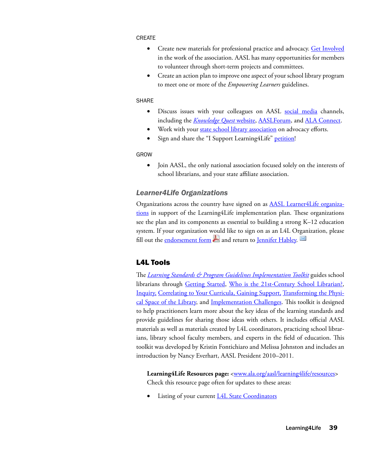#### <span id="page-48-0"></span>**CREATE**

- Create new materials for professional practice and advocacy. [Get Involved](http://www.ala.org/aasl/getinvolved) in the work of the association. AASL has many opportunities for members to volunteer through short-term projects and committees.
- Create an action plan to improve one aspect of your school library program to meet one or more of the *Empowering Learners* guidelines.

#### **SHARE**

- Discuss issues with your colleagues on AASL [social media](http://www.ala.org/aasl/about/community) channels, including the *[Knowledge Quest](http://knowledgequest.aasl.org/)* website, [AASLForum](http://www.ala.org/aasl/aboutaasl/aaslcommunity/communityinaasl/aasledisclist/aaslforum), and [ALA Connect.](http://connect.ala.org/aasl)
- Work with your [state school library association](http://www.ala.org/aasl/aboutaasl/affils/regions) on advocacy efforts.
- Sign and share the "I Support Learning4Life" [petition!](http://www.ipetitions.com/petition/learning4life/)

#### Grow

• Join AASL, the only national association focused solely on the interests of school librarians, and your state affiliate association.

### *Learner4Life Organizations*

Organizations across the country have signed on as **[AASL Learner4Life organiza](http://www.ala.org/aasl/learning4life/organizations)**[tions](http://www.ala.org/aasl/learning4life/organizations) in support of the Learning4Life implementation plan. These organizations see the plan and its components as essential to building a strong K–12 education system. If your organization would like to sign on as an L4L Organization, please fill out the [endorsement form](http://www.ala.org/aasl/files/guidelinesandstandards/learning4life/endorse/L4LendorsementForm.pdf)  $\blacktriangleright$  and return to [Jennifer Habley.](mailto:jhabley@ala.org)

# L4L Tools

The *[Learning Standards & Program Guidelines Implementation Toolkit](http://www.ala.org/aasl/advocacy/tools/toolkits/standards-guidelines)* guides school librarians through [Getting Started,](http://www.ala.org/aasl/advocacy/tools/toolkits/standards-guidelines2) [Who is the 21st-Century School Librarian?](http://www.ala.org/aasl/advocacy/tools/toolkits/standards-guidelines3), [Inquiry](http://www.ala.org/aasl/advocacy/tools/toolkits/standards-guidelines4), [Correlating to Your Curricula,](http://www.ala.org/aasl/advocacy/tools/toolkits/standards-guidelines5) Gaining Support, [Transforming the Physi](http://www.ala.org/aasl/advocacy/tools/toolkits/standards-guidelines7)[cal Space of the Library](http://www.ala.org/aasl/advocacy/tools/toolkits/standards-guidelines7), and [Implementation Challenges](http://www.ala.org/aasl/advocacy/tools/toolkits/standards-guidelines8). This toolkit is designed to help practitioners learn more about the key ideas of the learning standards and provide guidelines for sharing those ideas with others. It includes official AASL materials as well as materials created by L4L coordinators, practicing school librarians, library school faculty members, and experts in the field of education. This toolkit was developed by Kristin Fontichiaro and Melissa Johnston and includes an introduction by Nancy Everhart, AASL President 2010–2011.

Learning4Life Resources page: <**www.ala.org/aasl/learning4life/resources>** Check this resource page often for updates to these areas:

Listing of your current [L4L State Coordinators](http://www.ala.org/aasl/learning4life/coordinators)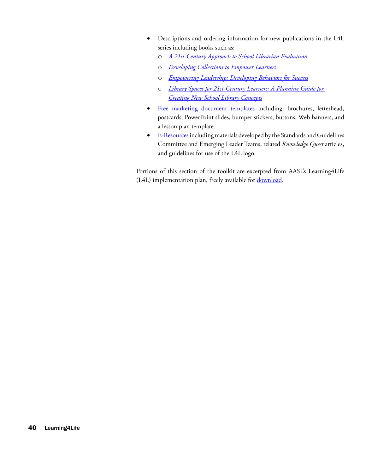- • Descriptions and ordering information for new publications in the L4L series including books such as:
	- o *[A 21st-Century Approach to School Librarian Evaluation](http://www.ala.org/aasl/standards-guidelines/evaluation-workbook)*
	- o *[Developing Collections to Empower Learners](http://www.alastore.ala.org/detail.aspx?ID=11021)*
	- o *[Empowering Leadership: Developing Behaviors for Success](http://www.alastore.ala.org/detail.aspx?ID=10613)*
	- o *[Library Spaces for 21st-Century Learners: A Planning Guide for](http://www.alastore.ala.org/detail.aspx?ID=4299)  Creating New School Library Concept[s](http://www.alastore.ala.org/detail.aspx?ID=4299)*
- [Free marketing document templates](http://www.ala.org/aasl/learning4life/resources#templates) including: brochures, letterhead, postcards, PowerPoint slides, bumper stickers, buttons, Web banners, and a lesson plan template.
- [E-Resources](http://www.ala.org/aasl/learning4life/resources#resources) including materials developed by the Standards and Guidelines Committee and Emerging Leader Teams, related *Knowledge Quest* articles, and guidelines for use of the L4L logo.

Portions of this section of the toolkit are excerpted from AASL's Learning4Life (L4L) implementation plan, freely available for **download**.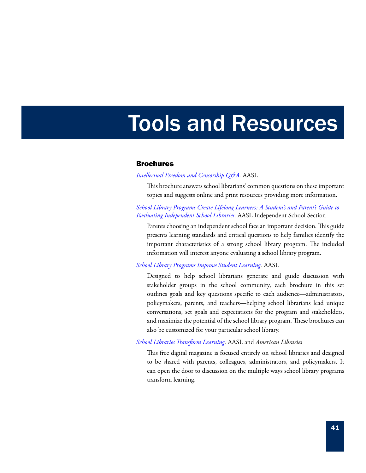# Tools and Resources

#### Brochures

#### *[Intellectual Freedom and Censorship Q&A.](http://www.ala.org/aasl/sites/ala.org.aasl/files/content/aaslissues/intellectual_freedom_brochure0212.pdf)* AASL

This brochure answers school librarians' common questions on these important topics and suggests online and print resources providing more information.

*[School Library Programs Create Lifelong Learners: A Student's and Parent's Guide to](http://www.ala.org/aasl/advocacy/tools/brochures/iss)  [Evaluating Independent School Libraries](http://www.ala.org/aasl/advocacy/tools/brochures/iss)*. AASL Independent School Section

Parents choosing an independent school face an important decision. This guide presents learning standards and critical questions to help families identify the important characteristics of a strong school library program. The included information will interest anyone evaluating a school library program.

*[School Library Programs Improve Student Learning](http://www.ala.org/aasl/advocacy/tools/brochures).* AASL

Designed to help school librarians generate and guide discussion with stakeholder groups in the school community, each brochure in this set outlines goals and key questions specific to each audience—administrators, policymakers, parents, and teachers—helping school librarians lead unique conversations, set goals and expectations for the program and stakeholders, and maximize the potential of the school library program. These brochures can also be customized for your particular school library.

*[School Libraries Transform Learning.](http://www.ala.org/aasl/advocacy/tools/transforming)* AASL and *American Libraries*

This free digital magazine is focused entirely on school libraries and designed to be shared with parents, colleagues, administrators, and policymakers. It can open the door to discussion on the multiple ways school library programs transform learning.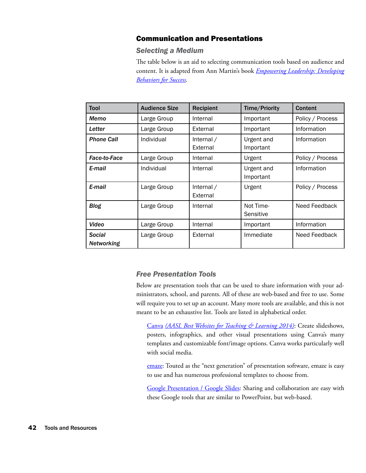# Communication and Presentations

## *Selecting a Medium*

The table below is an aid to selecting communication tools based on audience and content. It is adapted from Ann Martin's book *[Empowering Leadership: Developing](http://www.alastore.ala.org/detail.aspx?ID=10613) [Behaviors for Success](http://www.alastore.ala.org/detail.aspx?ID=10613)*.

| Tool                               | <b>Audience Size</b> | <b>Recipient</b>       | Time/Priority           | Content          |
|------------------------------------|----------------------|------------------------|-------------------------|------------------|
| Memo                               | Large Group          | Internal               | Important               | Policy / Process |
| Letter                             | Large Group          | External               | Important               | Information      |
| <b>Phone Call</b>                  | Individual           | Internal /<br>External | Urgent and<br>Important | Information      |
| <b>Face-to-Face</b>                | Large Group          | Internal               | Urgent                  | Policy / Process |
| E-mail                             | Individual           | Internal               | Urgent and<br>Important | Information      |
| E-mail                             | Large Group          | Internal /<br>External | Urgent                  | Policy / Process |
| <b>Blog</b>                        | Large Group          | Internal               | Not Time-<br>Sensitive  | Need Feedback    |
| Video                              | Large Group          | Internal               | Important               | Information      |
| <b>Social</b><br><b>Networking</b> | Large Group          | External               | Immediate               | Need Feedback    |

# *Free Presentation Tools*

Below are presentation tools that can be used to share information with your administrators, school, and parents. All of these are web-based and free to use. Some will require you to set up an account. Many more tools are available, and this is not meant to be an exhaustive list. Tools are listed in alphabetical order.

[Canva](https://www.canva.com/about) *[\(AASL Best Websites for Teaching & Learning 2014\)](http://www.ala.org/aasl/standards-guidelines/best-websites/2014)*: Create slideshows, posters, infographics, and other visual presentations using Canva's many templates and customizable font/image options. Canva works particularly well with social media.

[emaze:](https://www.emaze.com/?emazehome) Touted as the "next generation" of presentation software, emaze is easy to use and has numerous professional templates to choose from.

[Google Presentation / Google Slides:](https://docs.google.com/presentation/) Sharing and collaboration are easy with these Google tools that are similar to PowerPoint, but web-based.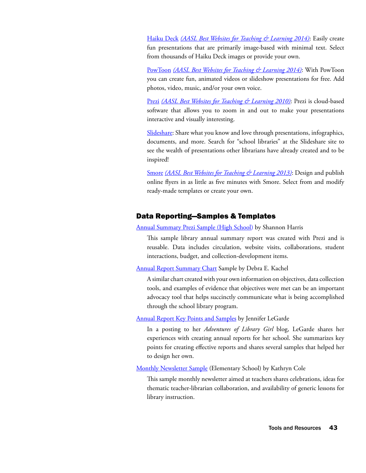[Haiku Deck](https://www.haikudeck.com/) *[\(AASL Best Websites for Teaching & Learning 2014\)](http://www.ala.org/aasl/standards-guidelines/best-websites/2014)*: Easily create fun presentations that are primarily image-based with minimal text. Select from thousands of Haiku Deck images or provide your own.

[PowToon](http://www.powtoon.com/) *[\(AASL Best Websites for Teaching & Learning 2014\)](http://www.ala.org/aasl/standards-guidelines/best-websites/2014)*: With PowToon you can create fun, animated videos or slideshow presentations for free. Add photos, video, music, and/or your own voice.

[Prezi](http://prezi.com/) *[\(AASL Best Websites for Teaching & Learning 2010\)](http://www.ala.org/aasl/standards-guidelines/best-websites/2010)*: Prezi is cloud-based software that allows you to zoom in and out to make your presentations interactive and visually interesting.

[Slideshare](http://www.slideshare.net/?ss): Share what you know and love through presentations, infographics, documents, and more. Search for "school libraries" at the Slideshare site to see the wealth of presentations other librarians have already created and to be inspired!

[Smore](http://www.smore.com/) *[\(AASL Best Websites for Teaching & Learning 2013\)](http://www.ala.org/aasl/standards-guidelines/best-websites/2013)*: Design and publish online flyers in as little as five minutes with Smore. Select from and modify ready-made templates or create your own.

# Data Reporting—Samples & Templates

[Annual Summary Prezi Sample \(High School\)](https://prezi.com/dmoptvfczjbu/road-trip/) by Shannon Harris

This sample library annual summary report was created with Prezi and is reusable. Data includes circulation, website visits, collaborations, student interactions, budget, and collection-development items.

[Annual Report Summary Chart](http://www.schoollibrarymonthly.com/articles/pdf/AnnualReport.pdf) Sample by Debra E. Kachel

A similar chart created with your own information on objectives, data collection tools, and examples of evidence that objectives were met can be an important advocacy tool that helps succinctly communicate what is being accomplished through the school library program.

[Annual Report Key Points and Samples](http://www.librarygirl.net/2013/05/school-library-annual-reports.html) by Jennifer LeGarde

In a posting to her *Adventures of Library Girl* blog, LeGarde shares her experiences with creating annual reports for her school. She summarizes key points for creating effective reports and shares several samples that helped her to design her own.

[Monthly Newsletter Sample](https://drive.google.com/file/d/0BxqNzkqqQorKZTc0MTZjYWItOWRmYi00YjNjLTkwMzUtM2E0NjkxOTY1NDc3/view) (Elementary School) by Kathryn Cole

This sample monthly newsletter aimed at teachers shares celebrations, ideas for thematic teacher-librarian collaboration, and availability of generic lessons for library instruction.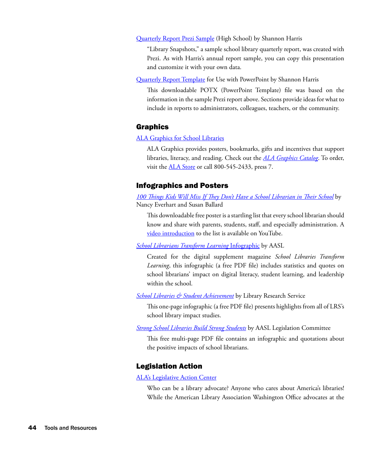[Quarterly Report Prezi Sample](https://prezi.com/sdbz5korkhi0/library-snapshots-q4-20132014/) (High School) by Shannon Harris

"Library Snapshots," a sample school library quarterly report, was created with Prezi. As with Harris's annual report sample, you can copy this presentation and customize it with your own data.

[Quarterly Report Template](https://drive.google.com/file/d/0BxqNzkqqQorKRkJMbGp2SlNPR28/view) for Use with PowerPoint by Shannon Harris

This downloadable POTX (PowerPoint Template) file was based on the information in the sample Prezi report above. Sections provide ideas for what to include in reports to administrators, colleagues, teachers, or the community.

## Graphics

[ALA Graphics for School Libraries](http://www.alastore.ala.org/alagraphics/SchoolLibraries.html)

ALA Graphics provides posters, bookmarks, gifts and incentives that support libraries, literacy, and reading. Check out the *[ALA Graphics Catalog](http://www.alastore.ala.org/catalog.aspx)*. To order, visit the **ALA Store** or call 800-545-2433, press 7.

### Infographics and Posters

*[100 Things Kids Will Miss If They Don't Have a School Librarian in Their School](http://www.ala.org/aasl/sites/ala.org.aasl/files/content/aaslissues/advocacy/100_Things_Poster.pdf)* by Nancy Everhart and Susan Ballard

This downloadable free poster is a startling list that every school librarian should know and share with parents, students, staff, and especially administration. A [video introduction](https://www.youtube.com/watch?v=YZDSFYl9pxo) to the list is available on YouTube.

*[School Librarians Transform Learning](http://www.ala.org/aasl/sites/ala.org.aasl/files/content/aaslissues/advocacy/AASL_Infographic_FINAL.pdf)* Infographic by AASL

Created for the digital supplement magazine *School Libraries Transform Learning*, this infographic (a free PDF file) includes statistics and quotes on school librarians' impact on digital literacy, student learning, and leadership within the school.

*[School Libraries & Student Achievement](http://www.lrs.org/documents/school/school_library_impact.pdf)* by Library Research Service

This one-page infographic (a free PDF file) presents highlights from all of LRS's school library impact studies.

*[Strong School Libraries Build Strong Students](http://www.ala.org/aasl/sites/ala.org.aasl/files/content/aaslissues/advocacy/AASL_infographic.pdf)* by AASL Legislation Committee

This free multi-page PDF file contains an infographic and quotations about the positive impacts of school librarians.

## Legislation Action

[ALA's Legislative Action Center](http://cqrcengage.com/ala/home)

Who can be a library advocate? Anyone who cares about America's libraries! While the American Library Association Washington Office advocates at the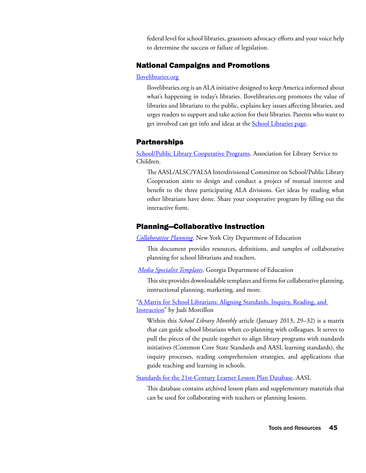federal level for school libraries, grassroots advocacy efforts and your voice help to determine the success or failure of legislation.

# National Campaigns and Promotions

#### [Ilovelibraries.org](http://www.ilovelibraries.org/)

Ilovelibraries.org is an ALA initiative designed to keep America informed about what's happening in today's libraries. Ilovelibraries.org promotes the value of libraries and librarians to the public, explains key issues affecting libraries, and urges readers to support and take action for their libraries. Parents who want to get involved can get info and ideas at the **[School Libraries page](http://www.ilovelibraries.org/school-libraries)**.

## Partnerships

[School/Public Library Cooperative Programs](http://www.ala.org/alsc/schoolplcoop). Association for Library Service to Children.

The AASL/ALSC/YALSA Interdivisional Committee on School/Public Library Cooperation aims to design and conduct a project of mutual interest and benefit to the three participating ALA divisions. Get ideas by reading what other librarians have done. Share your cooperative program by filling out the interactive form.

## Planning—Collaborative Instruction

*[Collaborative Planning](http://schools.nyc.gov/NR/rdonlyres/D0544E4C-45EC-4038-BA78-616DB87C193A/33406/Section24.pdf)*. New York City Department of Education

This document provides resources, definitions, and samples of collaborative planning for school librarians and teachers.

*[Media Specialist Templates](http://www.gadoe.org/Curriculum-Instruction-and-Assessment/Curriculum-and-Instruction/Pages/Media-Specialists-Templates.aspx)*. Georgia Department of Education

This site provides downloadable templates and forms for collaborative planning, instructional planning, marketing, and more.

["A Matrix for School Librarians: Aligning Standards, Inquiry, Reading, and](http://www.schoollibrarymonthly.com/articles/pdf/Moreillon2013-v29n4p29.pdf)  [Instruction"](http://www.schoollibrarymonthly.com/articles/pdf/Moreillon2013-v29n4p29.pdf) by Judi Moreillon

Within this *School Library Monthly* article (January 2013, 29–32) is a matrix that can guide school librarians when co-planning with colleagues. It serves to pull the pieces of the puzzle together to align library programs with standards initiatives (Common Core State Standards and AASL learning standards), the inquiry processes, reading comprehension strategies, and applications that guide teaching and learning in schools.

[Standards for the 21st-Century Learner Lesson Plan Database.](http://www.ala.org/aasl/standards-guidelines/lesson-plan) AASL

This database contains archived lesson plans and supplementary materials that can be used for collaborating with teachers or planning lessons.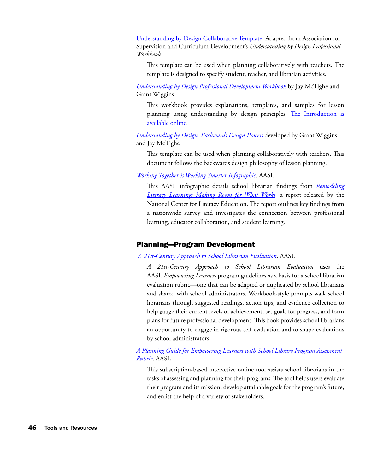[Understanding by Design Collaborative Template.](https://drive.google.com/file/d/0BxqNzkqqQorKSlVHNk95Q2swcmM/view?usp=sharing) Adapted from Association for Supervision and Curriculum Development's *Understanding by Design Professional Workbook*

This template can be used when planning collaboratively with teachers. The template is designed to specify student, teacher, and librarian activities.

*[Understanding by Design Professional Development Workbook](http://shop.ascd.org/ProductDetail.aspx?ProductId=411&Understanding-by-Design-Professional-Development-Workbook)* by Jay McTighe and Grant Wiggins

This workbook provides explanations, templates, and samples for lesson planning using understanding by design principles. The Introduction is [available online.](http://www.ascd.org/ASCD/pdf/books/mctighe2004_intro.pdf)

*[Understanding by Design–Backwards Design Process](http://www.d.umn.edu/~hrallis/courses/3204sp05/assignments/ubd_template.htm)* developed by Grant Wiggins and Jay McTighe

This template can be used when planning collaboratively with teachers. This document follows the backwards design philosophy of lesson planning.

*[Working Together is Working Smarter Infographic](http://www.ala.org/aasl/sites/ala.org.aasl/files/content/researchandstatistics/NCLE_AASLinfographic_FINAL-download.pdf)*. AASL

This AASL infographic details school librarian findings from *[Remodeling](http://www.literacyinlearningexchange.org/remodeling)  [Literacy Learning: Making Room for What Works,](http://www.literacyinlearningexchange.org/remodeling)* a report released by the National Center for Literacy Education. The report outlines key findings from a nationwide survey and investigates the connection between professional learning, educator collaboration, and student learning.

# Planning—Program Development

# *[A 21st-Century Approach to School Librarian Evaluation](http://www.ala.org/aasl/standards-guidelines/evaluation-workbook)*. AASL

*A 21st-Century Approach to School Librarian Evaluation* uses the AASL *Empowering Learners* program guidelines as a basis for a school librarian evaluation rubric—one that can be adapted or duplicated by school librarians and shared with school administrators. Workbook-style prompts walk school librarians through suggested readings, action tips, and evidence collection to help gauge their current levels of achievement, set goals for progress, and form plans for future professional development. This book provides school librarians an opportunity to engage in rigorous self-evaluation and to shape evaluations by school administrators'.

*[A Planning Guide for Empowering Learners with School Library Program Assessment](http://www.aasl.eb.com/)  [Rubric](http://www.aasl.eb.com/)*. AASL

This subscription-based interactive online tool assists school librarians in the tasks of assessing and planning for their programs. The tool helps users evaluate their program and its mission, develop attainable goals for the program's future, and enlist the help of a variety of stakeholders.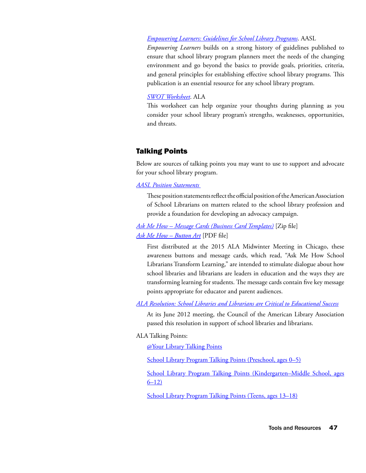#### *[Empowering Learners: Guidelines for School Library Programs](http://www.alastore.ala.org/detail.aspx?ID=2682)*. AASL

*Empowering Learners* builds on a strong history of guidelines published to ensure that school library program planners meet the needs of the changing environment and go beyond the basics to provide goals, priorities, criteria, and general principles for establishing effective school library programs. This publication is an essential resource for any school library program.

#### *[SWOT Worksheet](http://www.ala.org/advocacy/sites/ala.org.advocacy/files/content/advleg/advocacyuniversity/frontline_advocacy/frontline_school/swot.pdf)*. ALA

This worksheet can help organize your thoughts during planning as you consider your school library program's strengths, weaknesses, opportunities, and threats.

### Talking Points

Below are sources of talking points you may want to use to support and advocate for your school library program.

#### *[AASL Position Statements](http://www.ala.org/aasl/advocacy/resources/statements)*

These position statements reflect the official position of the American Association of School Librarians on matters related to the school library profession and provide a foundation for developing an advocacy campaign.

*[Ask Me How – Message Cards \(Business Card Templates\)](http://www.ala.org/aasl/sites/ala.org.aasl/files/content/aboutaasl/affils/promos/AskMeHow_Cards.zip)* [Zip file] *[Ask Me How – Button Art](http://www.ala.org/aasl/sites/ala.org.aasl/files/content/aboutaasl/affils/promos/AASL_r250-button_AskMeHow.pdf)* [PDF file]

First distributed at the 2015 ALA Midwinter Meeting in Chicago, these awareness buttons and message cards, which read, "Ask Me How School Librarians Transform Learning," are intended to stimulate dialogue about how school libraries and librarians are leaders in education and the ways they are transforming learning for students. The message cards contain five key message points appropriate for educator and parent audiences.

*[ALA Resolution: School Libraries and Librarians are Critical to Educational Success](http://www.ala.org/aasl/advocacy/resources/ala-resolutions)*

At its June 2012 meeting, the Council of the American Library Association passed this resolution in support of school libraries and librarians.

ALA Talking Points:

[@Your Library Talking Points](http://www.ala.org/advocacy/advleg/publicawareness/campaign%40yourlibrary/aboutyourlibrary/talkingpoints)

[School Library Program Talking Points \(Preschool, ages 0–5\)](http://www.ala.org/advocacy/advleg/advocacyuniversity/additup/0to5/anntk_school)

[School Library Program Talking Points \(Kindergarten–Middle School, ages](http://www.ala.org/advocacy/advleg/advocacyuniversity/additup/6to12/anntk_school) [6–12\)](http://www.ala.org/advocacy/advleg/advocacyuniversity/additup/6to12/anntk_school)

[School Library Program Talking Points \(Teens, ages 13–18\)](http://www.ala.org/advocacy/advleg/advocacyuniversity/additup/13to18/anntk_school)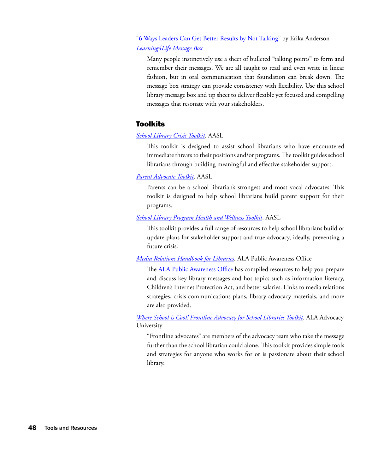# ["6 Ways Leaders Can Get Better Results by Not Talking](http://www.forbes.com/sites/erikaandersen/2013/09/03/6-ways-leaders-can-get-better-results-by-not-talking/)" by Erika Anderson *[Learning4Life Message Box](http://www.ala.org/aasl/sites/ala.org.aasl/files/content/aaslissues/slm/Message_Box_and_Tips_FINAL.pdf)*

Many people instinctively use a sheet of bulleted "talking points" to form and remember their messages. We are all taught to read and even write in linear fashion, but in oral communication that foundation can break down. The message box strategy can provide consistency with flexibility. Use this school library message box and tip sheet to deliver flexible yet focused and compelling messages that resonate with your stakeholders.

# Toolkits

# *[School Library Crisis Toolkit](http://www.ala.org/aasl/advocacy/tools/toolkits/crisis)*. AASL

This toolkit is designed to assist school librarians who have encountered immediate threats to their positions and/or programs. The toolkit guides school librarians through building meaningful and effective stakeholder support.

## *[Parent Advocate Toolkit](http://www.ala.org/aasl/advocacy/tools/toolkits/parent-advocate)*. AASL

Parents can be a school librarian's strongest and most vocal advocates. This toolkit is designed to help school librarians build parent support for their programs.

# *[School Library Program Health and Wellness Toolkit](http://www.ala.org/aasl/advocacy/tools/toolkits/health-wellness)*. AASL

This toolkit provides a full range of resources to help school librarians build or update plans for stakeholder support and true advocacy, ideally, preventing a future crisis.

# *[Media Relations Handbook for Libraries.](http://www.ala.org/advocacy/advleg/publicawareness/campaign%40yourlibrary/prtools/handbook)* ALA Public Awareness Office

The **ALA Public Awareness Office** has compiled resources to help you prepare and discuss key library messages and hot topics such as information literacy, Children's Internet Protection Act, and better salaries. Links to media relations strategies, crisis communications plans, library advocacy materials, and more are also provided.

*[Where School is Cool! Frontline Advocacy for School Libraries Toolkit](http://www.ala.org/advocacy/advleg/advocacyuniversity/frontline_advocacy/frontline_school)*. ALA Advocacy University

"Frontline advocates" are members of the advocacy team who take the message further than the school librarian could alone. This toolkit provides simple tools and strategies for anyone who works for or is passionate about their school library.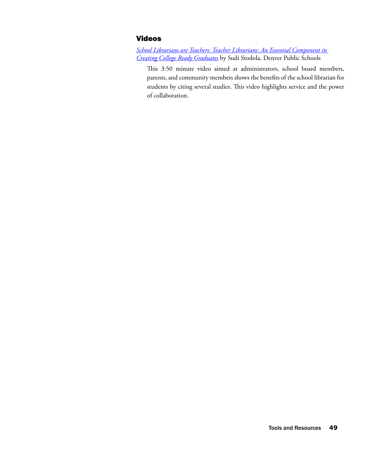# Videos

*[School Librarians are Teachers: Teacher Librarians: An Essential Component in](https://www.youtube.com/watch?v=RB-JuBZYfQc)  [Creating College Ready Graduates](https://www.youtube.com/watch?v=RB-JuBZYfQc)* by Sudi Stodola, Denver Public Schools

This 3:50 minute video aimed at administrators, school board members, parents, and community members shows the benefits of the school librarian for students by citing several studies. This video highlights service and the power of collaboration.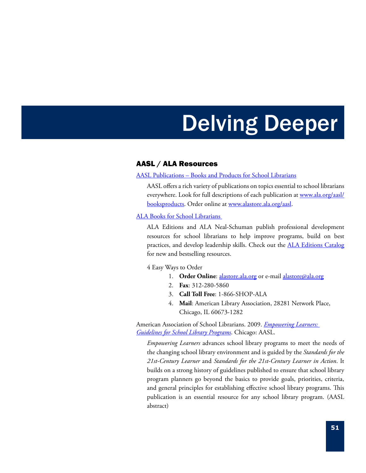# Delving Deeper

# AASL / ALA Resources

#### [AASL Publications – Books and Products for School Librarians](http://www.ala.org/aasl/booksproducts)

AASL offers a rich variety of publications on topics essential to school librarians everywhere. Look for full descriptions of each publication at [www.ala.org/aasl/](http://www.ala.org/aasl/booksproducts) [booksproducts](http://www.ala.org/aasl/booksproducts). Order online at [www.alastore.ala.org/aasl.](http://www.alastore.ala.org/aasl)

#### [ALA Books for School Librarians](http://www.alastore.ala.org/SearchResult.aspx?CategoryID=123)

ALA Editions and ALA Neal-Schuman publish professional development resources for school librarians to help improve programs, build on best practices, and develop leadership skills. Check out the **[ALA Editions Catalog](http://www.alastore.ala.org/pdf/ALA_Editions_Catalog.pdf)** for new and bestselling resources.

4 Easy Ways to Order

- 1. **Order Online**: [alastore.ala.o](http://www.alastore.ala.org/)rg or e-mail alastore@ala.org
- 2. **Fax**: 312-280-5860
- 3. **Call Toll Free**: 1-866-SHOP-ALA
- 4. **Mail**: American Library Association, 28281 Network Place, Chicago, IL 60673-1282

American Association of School Librarians. 2009. *[Empowering Learners:](http://www.alastore.ala.org/detail.aspx?ID=2682)  [Guidelines for School Library Programs](http://www.alastore.ala.org/detail.aspx?ID=2682)*. Chicago: AASL.

*Empowering Learners* advances school library programs to meet the needs of the changing school library environment and is guided by the *Standards for the 21st-Century Learner* and *Standards for the 21st-Century Learner in Action*. It builds on a strong history of guidelines published to ensure that school library program planners go beyond the basics to provide goals, priorities, criteria, and general principles for establishing effective school library programs. This publication is an essential resource for any school library program. (AASL abstract)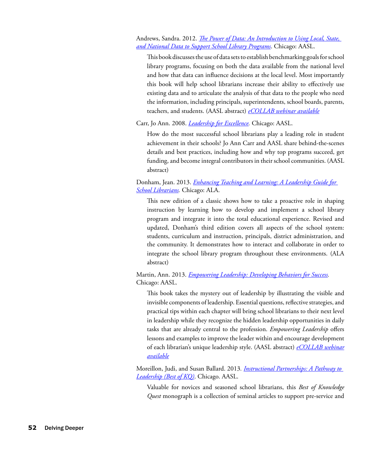Andrews, Sandra. 2012. *[The Power of Data: An Introduction to Using Local, State,](http://www.alastore.ala.org/detail.aspx?ID=3934)  [and National Data to Support School Library Programs](http://www.alastore.ala.org/detail.aspx?ID=3934)*. Chicago: AASL.

This book discusses the use of data sets to establish benchmarking goals for school library programs, focusing on both the data available from the national level and how that data can influence decisions at the local level. Most importantly this book will help school librarians increase their ability to effectively use existing data and to articulate the analysis of that data to the people who need the information, including principals, superintendents, school boards, parents, teachers, and students. (AASL abstract) *[eCOLLAB webinar available](http://www.ala.org/aasl/ecollab/power-of-data)*

Carr, Jo Ann. 2008. *[Leadership for Excellence.](http://www.alastore.ala.org/detail.aspx?ID=2417)* Chicago: AASL.

How do the most successful school librarians play a leading role in student achievement in their schools? Jo Ann Carr and AASL share behind-the-scenes details and best practices, including how and why top programs succeed, get funding, and become integral contributors in their school communities. (AASL abstract)

## Donham, Jean. 2013. *[Enhancing Teaching and Learning: A Leadership Guide for](http://www.alastore.ala.org/detail.aspx?ID=4294)  [School Librarians.](http://www.alastore.ala.org/detail.aspx?ID=4294)* Chicago: ALA.

This new edition of a classic shows how to take a proactive role in shaping instruction by learning how to develop and implement a school library program and integrate it into the total educational experience. Revised and updated, Donham's third edition covers all aspects of the school system: students, curriculum and instruction, principals, district administration, and the community. It demonstrates how to interact and collaborate in order to integrate the school library program throughout these environments. (ALA abstract)

Martin, Ann. 2013. *[Empowering Leadership: Developing Behaviors for Success.](http://www.alastore.ala.org/detail.aspx?ID=10613)*  Chicago: AASL.

This book takes the mystery out of leadership by illustrating the visible and invisible components of leadership. Essential questions, reflective strategies, and practical tips within each chapter will bring school librarians to their next level in leadership while they recognize the hidden leadership opportunities in daily tasks that are already central to the profession. *Empowering Leadership* offers lessons and examples to improve the leader within and encourage development of each librarian's unique leadership style. (AASL abstract) *[eCOLLAB webinar](http://www.ala.org/aasl/ecollab/leader-within)  [available](http://www.ala.org/aasl/ecollab/leader-within)*

Moreillon, Judi, and Susan Ballard. 2013*. [Instructional Partnerships: A Pathway to](http://www.alastore.ala.org/detail.aspx?ID=10587)  [Leadership \(Best of KQ\)](http://www.alastore.ala.org/detail.aspx?ID=10587)*. Chicago. AASL.

Valuable for novices and seasoned school librarians, this *Best of Knowledge Quest* monograph is a collection of seminal articles to support pre-service and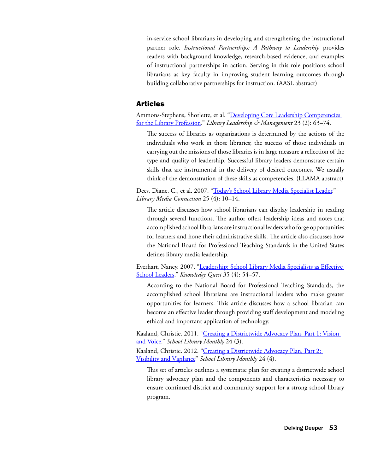in-service school librarians in developing and strengthening the instructional partner role. *Instructional Partnerships: A Pathway to Leadership* provides readers with background knowledge, research-based evidence, and examples of instructional partnerships in action. Serving in this role positions school librarians as key faculty in improving student learning outcomes through building collaborative partnerships for instruction. (AASL abstract)

# Articles

Ammons-Stephens, Shorlette, et al. "Developing Core Leadership Competencies [for the Library Profession](https://journals.tdl.org/llm/index.php/llm/issue/view/114)." *Library Leadership & Management* 23 (2): 63–74.

The success of libraries as organizations is determined by the actions of the individuals who work in those libraries; the success of those individuals in carrying out the missions of those libraries is in large measure a reflection of the type and quality of leadership. Successful library leaders demonstrate certain skills that are instrumental in the delivery of desired outcomes. We usually think of the demonstration of these skills as competencies. (LLAMA abstract)

Dees, Diane. C., et al. 2007. "[Today's School Library Media Specialist Leader.](https://www.google.com/url?sa=t&rct=j&q=&esrc=s&source=web&cd=2&cad=rja&uact=8&ved=0CCkQFjAB&url=http%3A%2F%2Feric.ed.gov%2F%3Fid%3DEJ762358&ei=aMJnVd7ZH5KWygS-2IL4BQ&usg=AFQjCNFt4FPuqEQ1IA-tf2GW066ecu1xEg&sig2=HktTTL9a3XfPRd1QvP8I0g)" *Library Media Connection* 25 (4): 10–14.

The article discusses how school librarians can display leadership in reading through several functions. The author offers leadership ideas and notes that accomplished school librarians are instructional leaders who forge opportunities for learners and hone their administrative skills. The article also discusses how the National Board for Professional Teaching Standards in the United States defines library media leadership.

Everhart, Nancy. 2007. "[Leadership: School Library Media Specialists as Effective](http://eric.ed.gov/?id=EJ826446)  [School Leaders.](http://eric.ed.gov/?id=EJ826446)" *Knowledge Quest* 35 (4): 54–57.

According to the National Board for Professional Teaching Standards, the accomplished school librarians are instructional leaders who make greater opportunities for learners. This article discusses how a school librarian can become an effective leader through providing staff development and modeling ethical and important application of technology.

Kaaland, Christie. 2011. "Creating a Districtwide Advocacy Plan, Part 1: Vision [and Voice.](http://www.schoollibrarymonthly.com/articles/Kaaland2011-v28n3p29.html)" *School Library Monthly* 24 (3).

Kaaland, Christie. 2012. "[Creating a Districtwide Advocacy Plan, Part 2:](http://www.schoollibrarymonthly.com/articles/Kaaland2012-v28n4p29.html)  [Visibility and Vigilance](http://www.schoollibrarymonthly.com/articles/Kaaland2012-v28n4p29.html)" *School Library Monthly* 24 (4).

This set of articles outlines a systematic plan for creating a districtwide school library advocacy plan and the components and characteristics necessary to ensure continued district and community support for a strong school library program.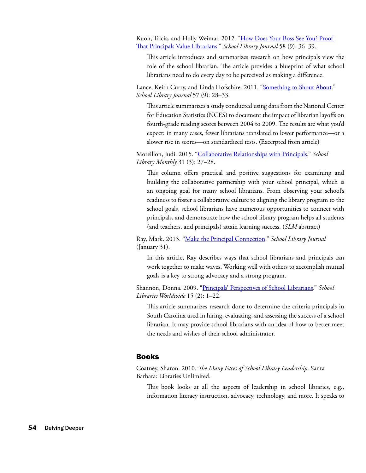Kuon, Tricia, and Holly Weimar. 2012. "How Does Your Boss See You? Proof [That Principals Value Librarians](http://www.slj.com/2012/09/careers/how-does-your-boss-see-you-proof-that-principals-value-librarians/)." *School Library Journal* 58 (9): 36–39.

This article introduces and summarizes research on how principals view the role of the school librarian. The article provides a blueprint of what school librarians need to do every day to be perceived as making a difference.

Lance, Keith Curry, and Linda Hofschire. 2011. "[Something to Shout About.](http://www.slj.com/2011/09/industry-news/something-to-shout-about-new-research-shows-that-more-librarians-means-higher-reading-scores/)" *School Library Journal* 57 (9): 28–33.

This article summarizes a study conducted using data from the National Center for Education Statistics (NCES) to document the impact of librarian layoffs on fourth-grade reading scores between 2004 to 2009. The results are what you'd expect: in many cases, fewer librarians translated to lower performance—or a slower rise in scores—on standardized tests. (Excerpted from article)

Moreillon, Judi. 2015. "[Collaborative Relationships with Principals.](http://www.schoollibrarymonthly.com/articles/pdf/QRv31n3p27.pdf)" *School Library Monthly* 31 (3): 27–28.

This column offers practical and positive suggestions for examining and building the collaborative partnership with your school principal, which is an ongoing goal for many school librarians. From observing your school's readiness to foster a collaborative culture to aligning the library program to the school goals, school librarians have numerous opportunities to connect with principals, and demonstrate how the school library program helps all students (and teachers, and principals) attain learning success. (*SLM* abstract)

Ray, Mark. 2013. "[Make the Principal Connection.](http://www.slj.com/2013/01/opinion/the-same-difference-mark-ray-asserts-that-principals-and-librarians-have-a-lot-more-in-common-than-you-might-think-and-he-should-know/)" *School Library Journal* (January 31).

In this article, Ray describes ways that school librarians and principals can work together to make waves. Working well with others to accomplish mutual goals is a key to strong advocacy and a strong program.

Shannon, Donna. 2009. "[Principals' Perspectives of School Librarians.](http://scholarcommons.sc.edu/cgi/viewcontent.cgi?article=1010&context=libsci_facpub)" *School Libraries Worldwide* 15 (2): 1–22.

This article summarizes research done to determine the criteria principals in South Carolina used in hiring, evaluating, and assessing the success of a school librarian. It may provide school librarians with an idea of how to better meet the needs and wishes of their school administrator.

### Books

Coatney, Sharon. 2010. *The Many Faces of School Library Leadership*. Santa Barbara: Libraries Unlimited.

This book looks at all the aspects of leadership in school libraries, e.g., information literacy instruction, advocacy, technology, and more. It speaks to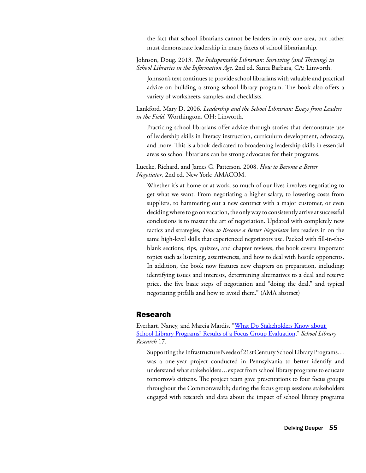the fact that school librarians cannot be leaders in only one area, but rather must demonstrate leadership in many facets of school librarianship.

Johnson, Doug. 2013. *The Indispensable Librarian: Surviving (and Thriving) in School Libraries in the Information Age,* 2nd ed. Santa Barbara, CA: Linworth.

Johnson's text continues to provide school librarians with valuable and practical advice on building a strong school library program. The book also offers a variety of worksheets, samples, and checklists.

Lankford, Mary D. 2006. *Leadership and the School Librarian: Essays from Leaders in the Field*. Worthington, OH: Linworth.

Practicing school librarians offer advice through stories that demonstrate use of leadership skills in literacy instruction, curriculum development, advocacy, and more. This is a book dedicated to broadening leadership skills in essential areas so school librarians can be strong advocates for their programs.

Luecke, Richard, and James G. Patterson. 2008. *How to Become a Better Negotiator*, 2nd ed. New York: AMACOM.

Whether it's at home or at work, so much of our lives involves negotiating to get what we want. From negotiating a higher salary, to lowering costs from suppliers, to hammering out a new contract with a major customer, or even deciding where to go on vacation, the only way to consistently arrive at successful conclusions is to master the art of negotiation. Updated with completely new tactics and strategies, *How to Become a Better Negotiator* lets readers in on the same high-level skills that experienced negotiators use. Packed with fill-in-theblank sections, tips, quizzes, and chapter reviews, the book covers important topics such as listening, assertiveness, and how to deal with hostile opponents. In addition, the book now features new chapters on preparation, including: identifying issues and interests, determining alternatives to a deal and reserve price, the five basic steps of negotiation and "doing the deal," and typical negotiating pitfalls and how to avoid them." (AMA abstract)

# Research

Everhart, Nancy, and Marcia Mardis. "[What Do Stakeholders Know about](http://www.ala.org/aasl/slr/volume17/everhart-mardis)  [School Library Programs? Results of a Focus Group Evaluation](http://www.ala.org/aasl/slr/volume17/everhart-mardis)." *School Library Research* 17.

Supporting the Infrastructure Needs of 21st Century School Library Programs… was a one-year project conducted in Pennsylvania to better identify and understand what stakeholders…expect from school library programs to educate tomorrow's citizens. The project team gave presentations to four focus groups throughout the Commonwealth; during the focus group sessions stakeholders engaged with research and data about the impact of school library programs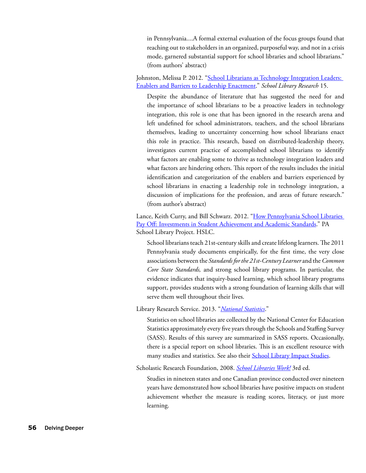in Pennsylvania....A formal external evaluation of the focus groups found that reaching out to stakeholders in an organized, purposeful way, and not in a crisis mode, garnered substantial support for school libraries and school librarians." (from authors' abstract)

Johnston, Melissa P. 2012. ["School Librarians as Technology Integration Leaders:](http://www.ala.org/aasl/sites/ala.org.aasl/files/content/aaslpubsandjournals/slr/vol15/SLR_School_Librarians_as_Technology_Integration_Leaders_V15.pdf)  [Enablers and Barriers to Leadership Enactment.](http://www.ala.org/aasl/sites/ala.org.aasl/files/content/aaslpubsandjournals/slr/vol15/SLR_School_Librarians_as_Technology_Integration_Leaders_V15.pdf)" *School Library Research* 15.

Despite the abundance of literature that has suggested the need for and the importance of school librarians to be a proactive leaders in technology integration, this role is one that has been ignored in the research arena and left undefined for school administrators, teachers, and the school librarians themselves, leading to uncertainty concerning how school librarians enact this role in practice. This research, based on distributed-leadership theory, investigates current practice of accomplished school librarians to identify what factors are enabling some to thrive as technology integration leaders and what factors are hindering others. This report of the results includes the initial identification and categorization of the enablers and barriers experienced by school librarians in enacting a leadership role in technology integration, a discussion of implications for the profession, and areas of future research." (from author's abstract)

Lance, Keith Curry, and Bill Schwarz. 2012. "How Pennsylvania School Libraries [Pay Off: Investments in Student Achievement and Academic Standards](http://paschoollibraryproject.org/research)." PA School Library Project. HSLC.

School librarians teach 21st-century skills and create lifelong learners. The 2011 Pennsylvania study documents empirically, for the first time, the very close associations between the *Standards for the 21st-Century Learner* and the *Common Core State Standards,* and strong school library programs. In particular, the evidence indicates that inquiry-based learning, which school library programs support, provides students with a strong foundation of learning skills that will serve them well throughout their lives.

Library Research Service. 2013. "*[National Statistics](http://www.lrs.org/data-tools/school-libraries/national-statistics/)*."

Statistics on school libraries are collected by the National Center for Education Statistics approximately every five years through the Schools and Staffing Survey (SASS). Results of this survey are summarized in SASS reports. Occasionally, there is a special report on school libraries. This is an excellent resource with many studies and statistics. See also their **[School Library Impact Studies](http://www.lrs.org/data-tools/school-libraries/impact-studies/)**.

Scholastic Research Foundation, 2008. *[School Libraries Work!](http://www.scholastic.com/content/collateral_resources/pdf/s/slw3_2008.pdf)* 3rd ed.

Studies in nineteen states and one Canadian province conducted over nineteen years have demonstrated how school libraries have positive impacts on student achievement whether the measure is reading scores, literacy, or just more learning.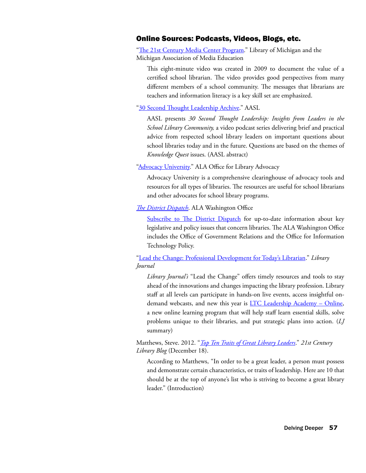# Online Sources: Podcasts, Videos, Blogs, etc.

["The 21st Century Media Center Program](http://www.youtube.com/watch?v=AsaACY1NM-k)." Library of Michigan and the Michigan Association of Media Education

This eight-minute video was created in 2009 to document the value of a certified school librarian. The video provides good perspectives from many different members of a school community. The messages that librarians are teachers and information literacy is a key skill set are emphasized.

["30 Second Thought Leadership Archive](http://www.ala.org/aasl/kq/30second/archive)." AASL

AASL presents *30 Second Thought Leadership: Insights from Leaders in the School Library Community,* a video podcast series delivering brief and practical advice from respected school library leaders on important questions about school libraries today and in the future. Questions are based on the themes of *Knowledge Quest* issues. (AASL abstract)

["Advocacy University](http://www.ala.org/advocacy/advocacy-university)." ALA Office for Library Advocacy

Advocacy University is a comprehensive clearinghouse of advocacy tools and resources for all types of libraries. The resources are useful for school librarians and other advocates for school library programs.

*[The District Dispatch](http://www.districtdispatch.org/)*. ALA Washington Office

[Subscribe to The District Dispatch](http://cqrcengage.com/ala/app/register?0&m=20147) for up-to-date information about key legislative and policy issues that concern libraries. The ALA Washington Office includes the Office of Government Relations and the Office for Information Technology Policy.

["Lead the Change: Professional Development for Today's Librarian](http://lj.libraryjournal.com/lead-the-change/#_)." *Library Journal*

*Library Journal's* "Lead the Change" offers timely resources and tools to stay ahead of the innovations and changes impacting the library profession. Library staff at all levels can participate in hands-on live events, access insightful ondemand webcasts, and new this year is **LTC Leadership Academy - Online**, a new online learning program that will help staff learn essential skills, solve problems unique to their libraries, and put strategic plans into action. (*LJ* summary)

Matthews, Steve. 2012. "*[Top Ten Traits of Great Library Leaders](http://21stcenturylibrary.com/2012/12/18/top-ten-traits-of-great-library-leaders/)*." *21st Century Library Blog* (December 18).

According to Matthews, "In order to be a great leader, a person must possess and demonstrate certain characteristics, or traits of leadership. Here are 10 that should be at the top of anyone's list who is striving to become a great library leader." (Introduction)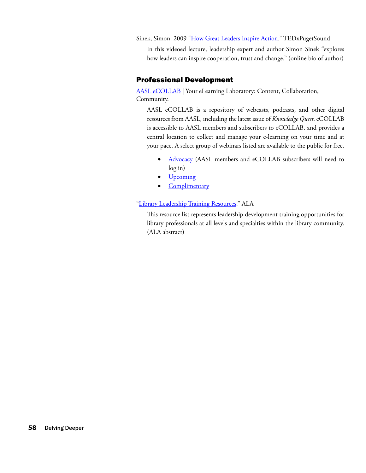Sinek, Simon. 2009 "[How Great Leaders Inspire Action](http://www.ted.com/talks/simon_sinek_how_great_leaders_inspire_action?quote=711)." TEDxPugetSound

In this videoed lecture, leadership expert and author Simon Sinek "explores how leaders can inspire cooperation, trust and change." (online bio of author)

# Professional Development

[AASL eCOLLAB](http://www.ala.org/aasl/ecollab) | Your eLearning Laboratory: Content, Collaboration, Community.

AASL eCOLLAB is a repository of webcasts, podcasts, and other digital resources from AASL, including the latest issue of *Knowledge Quest*. eCOLLAB is accessible to AASL members and subscribers to eCOLLAB, and provides a central location to collect and manage your e-learning on your time and at your pace. A select group of webinars listed are available to the public for free.

- [Advocacy](http://www.ala.org/aasl/ecollab/advocacy) (AASL members and eCOLLAB subscribers will need to log in)
- **[Upcoming](http://www.ala.org/aasl/ecollab/upcoming)**
- [Complimentary](http://www.ala.org/aasl/ecollab/complimentary)

## ["Library Leadership Training Resources.](http://www.ala.org/offices/hrdr/abouthrdr/hrdrliaisoncomm/otld/leadershiptraining)" ALA

This resource list represents leadership development training opportunities for library professionals at all levels and specialties within the library community. (ALA abstract)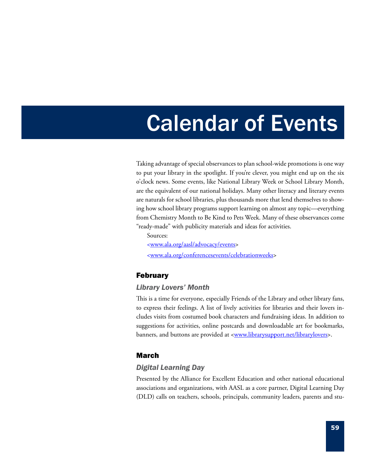# Calendar of Events

Taking advantage of special observances to plan school-wide promotions is one way to put your library in the spotlight. If you're clever, you might end up on the six o'clock news. Some events, like National Library Week or School Library Month, are the equivalent of our national holidays. Many other literacy and literary events are naturals for school libraries, plus thousands more that lend themselves to showing how school library programs support learning on almost any topic—everything from Chemistry Month to Be Kind to Pets Week. Many of these observances come "ready-made" with publicity materials and ideas for activities.

<www.ala.org/aasl/advocacy/events> <www.ala.org/conferencesevents/celebrationweeks>

# February

Sources:

## *Library Lovers' Month*

This is a time for everyone, especially Friends of the Library and other library fans, to express their feelings. A list of lively activities for libraries and their lovers includes visits from costumed book characters and fundraising ideas. In addition to suggestions for activities, online postcards and downloadable art for bookmarks, banners, and buttons are provided at <**www.librarysupport.net/librarylovers>**.

# March

# *Digital Learning Day*

Presented by the Alliance for Excellent Education and other national educational associations and organizations, with AASL as a core partner, Digital Learning Day (DLD) calls on teachers, schools, principals, community leaders, parents and stu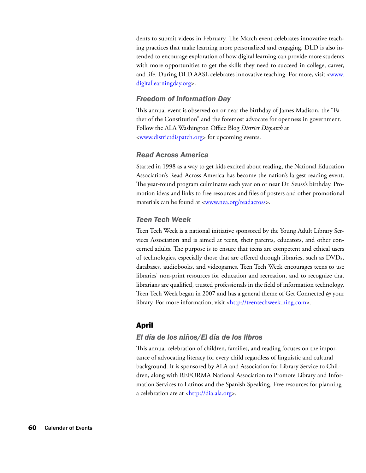dents to submit videos in February. The March event celebrates innovative teaching practices that make learning more personalized and engaging. DLD is also intended to encourage exploration of how digital learning can provide more students with more opportunities to get the skills they need to succeed in college, career, and life. During DLD AASL celebrates innovative teaching. For more, visit <www. digitallearningday.org>.

## *Freedom of Information Day*

This annual event is observed on or near the birthday of James Madison, the "Father of the Constitution" and the foremost advocate for openness in government. Follow the ALA Washington Office Blog *District Dispatch* at <[www.districtdispatch.org>](www.districtdispatch.org) for upcoming events.

## *Read Across America*

Started in 1998 as a way to get kids excited about reading, the National Education Association's Read Across America has become the nation's largest reading event. The year-round program culminates each year on or near Dr. Seuss's birthday. Promotion ideas and links to free resources and files of posters and other promotional materials can be found at <www.nea.org/readacross>.

# *Teen Tech Week*

Teen Tech Week is a national initiative sponsored by the Young Adult Library Services Association and is aimed at teens, their parents, educators, and other concerned adults. The purpose is to ensure that teens are competent and ethical users of technologies, especially those that are offered through libraries, such as DVDs, databases, audiobooks, and videogames. Teen Tech Week encourages teens to use libraries' non-print resources for education and recreation, and to recognize that librarians are qualified, trusted professionals in the field of information technology. Teen Tech Week began in 2007 and has a general theme of Get Connected @ your library. For more information, visit <http://teentechweek.ning.com>.

# April

### *El día de los niños/El día de los libros*

This annual celebration of children, families, and reading focuses on the importance of advocating literacy for every child regardless of linguistic and cultural background. It is sponsored by ALA and Association for Library Service to Children, along with REFORMA National Association to Promote Library and Information Services to Latinos and the Spanish Speaking. Free resources for planning a celebration are at <http://dia.ala.org>.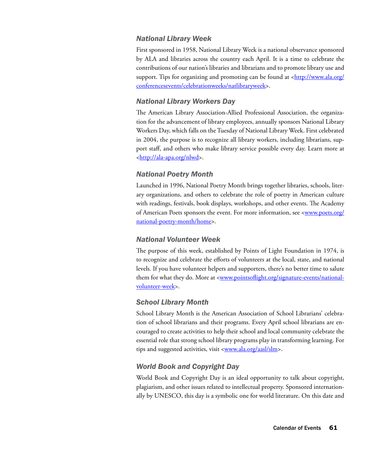# *National Library Week*

First sponsored in 1958, National Library Week is a national observance sponsored by ALA and libraries across the country each April. It is a time to celebrate the contributions of our nation's libraries and librarians and to promote library use and support. Tips for organizing and promoting can be found at  $\langle \frac{http://www.ala.org/}{http://www.ala.org/} \rangle$ conferencesevents/celebrationweeks/natlibraryweek>.

# *National Library Workers Day*

The American Library Association-Allied Professional Association, the organization for the advancement of library employees, annually sponsors National Library Workers Day, which falls on the Tuesday of National Library Week. First celebrated in 2004, the purpose is to recognize all library workers, including librarians, support staff, and others who make library service possible every day. Learn more at <http://ala-apa.org/nlwd>.

# *National Poetry Month*

Launched in 1996, National Poetry Month brings together libraries, schools, literary organizations, and others to celebrate the role of poetry in American culture with readings, festivals, book displays, workshops, and other events. The Academy of American Poets sponsors the event. For more information, see <www.poets.org/ national-poetry-month/home>.

# *National Volunteer Week*

The purpose of this week, established by Points of Light Foundation in 1974, is to recognize and celebrate the efforts of volunteers at the local, state, and national levels. If you have volunteer helpers and supporters, there's no better time to salute them for what they do. More at <www.pointsoflight.org/signature-events/nationalvolunteer-week>.

# *School Library Month*

School Library Month is the American Association of School Librarians' celebration of school librarians and their programs. Every April school librarians are encouraged to create activities to help their school and local community celebrate the essential role that strong school library programs play in transforming learning. For tips and suggested activities, visit <**www.ala.org/aasl/slm>**.

# *World Book and Copyright Day*

World Book and Copyright Day is an ideal opportunity to talk about copyright, plagiarism, and other issues related to intellectual property. Sponsored internationally by UNESCO, this day is a symbolic one for world literature. On this date and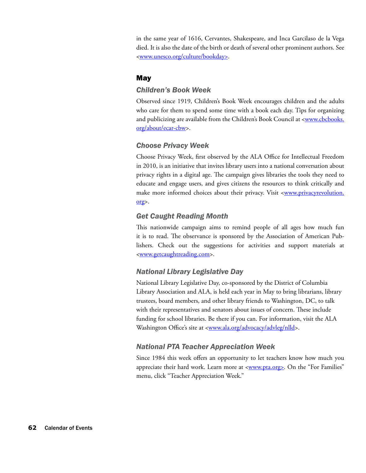in the same year of 1616, Cervantes, Shakespeare, and Inca Garcilaso de la Vega died. It is also the date of the birth or death of several other prominent authors. See <www.unesco.org/culture/bookday>.

## **May**

#### *Children's Book Week*

Observed since 1919, Children's Book Week encourages children and the adults who care for them to spend some time with a book each day. Tips for organizing and publicizing are available from the Children's Book Council at <www.cbcbooks. org/about/ecar-cbw>.

#### *Choose Privacy Week*

Choose Privacy Week, first observed by the ALA Office for Intellectual Freedom in 2010, is an initiative that invites library users into a national conversation about privacy rights in a digital age. The campaign gives libraries the tools they need to educate and engage users, and gives citizens the resources to think critically and make more informed choices about their privacy. Visit <www.privacyrevolution. org>.

## *Get Caught Reading Month*

This nationwide campaign aims to remind people of all ages how much fun it is to read. The observance is sponsored by the Association of American Publishers. Check out the suggestions for activities and support materials at <[www.getcaughtreading.com>](www.getcaughtreading.com).

### *National Library Legislative Day*

National Library Legislative Day, co-sponsored by the District of Columbia Library Association and ALA, is held each year in May to bring librarians, library trustees, board members, and other library friends to Washington, DC, to talk with their representatives and senators about issues of concern. These include funding for school libraries. Be there if you can. For information, visit the ALA Washington Office's site at <www.ala.org/advocacy/advleg/nlld>.

### *National PTA Teacher Appreciation Week*

Since 1984 this week offers an opportunity to let teachers know how much you appreciate their hard work. Learn more at <**www.pta.org>**. On the "For Families" menu, click "Teacher Appreciation Week."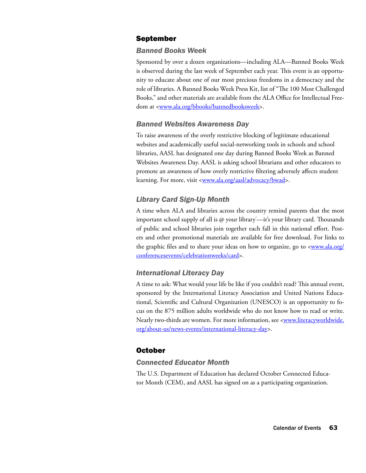## September

#### *Banned Books Week*

Sponsored by over a dozen organizations—including ALA—Banned Books Week is observed during the last week of September each year. This event is an opportunity to educate about one of our most precious freedoms in a democracy and the role of libraries. A Banned Books Week Press Kit, list of "The 100 Most Challenged Books," and other materials are available from the ALA Office for Intellectual Freedom at <www.ala.org/bbooks/bannedbooksweek>.

#### *Banned Websites Awareness Day*

To raise awareness of the overly restrictive blocking of legitimate educational websites and academically useful social-networking tools in schools and school libraries, AASL has designated one day during Banned Books Week as Banned Websites Awareness Day. AASL is asking school librarians and other educators to promote an awareness of how overly restrictive filtering adversely affects student learning. For more, visit <www.ala.org/aasl/advocacy/bwad>.

# *Library Card Sign-Up Month*

A time when ALA and libraries across the country remind parents that the most important school supply of all is @ your library —it's your library card. Thousands of public and school libraries join together each fall in this national effort. Posters and other promotional materials are available for free download. For links to the graphic files and to share your ideas on how to organize, go to <www.ala.org/ conferencesevents/celebrationweeks/card>.

#### *International Literacy Day*

A time to ask: What would your life be like if you couldn't read? This annual event, sponsored by the International Literacy Association and United Nations Educational, Scientific and Cultural Organization (UNESCO) is an opportunity to focus on the 875 million adults worldwide who do not know how to read or write. Nearly two-thirds are women. For more information, see <www.literacyworldwide. org/about-us/news-events/international-literacy-day>.

#### October

#### *Connected Educator Month*

The U.S. Department of Education has declared October Connected Educator Month (CEM), and AASL has signed on as a participating organization.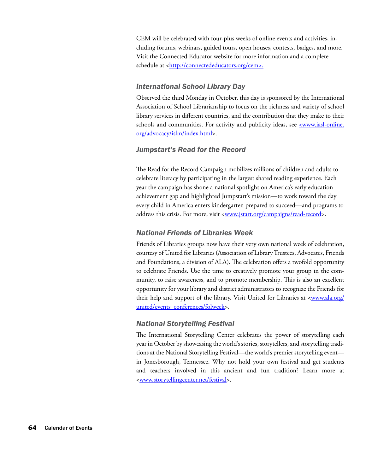CEM will be celebrated with four-plus weeks of online events and activities, including forums, webinars, guided tours, open houses, contests, badges, and more. Visit the Connected Educator website for more information and a complete schedule at <http://connectededucators.org/cem>.

## *International School Library Day*

Observed the third Monday in October, this day is sponsored by the International Association of School Librarianship to focus on the richness and variety of school library services in different countries, and the contribution that they make to their schools and communities. For activity and publicity ideas, see <www.iasl-online. org/advocacy/islm/index.html>.

#### *Jumpstart's Read for the Record*

The Read for the Record Campaign mobilizes millions of children and adults to celebrate literacy by participating in the largest shared reading experience. Each year the campaign has shone a national spotlight on America's early education achievement gap and highlighted Jumpstart's mission—to work toward the day every child in America enters kindergarten prepared to succeed—and programs to address this crisis. For more, visit <www.jstart.org/campaigns/read-record>.

## *National Friends of Libraries Week*

Friends of Libraries groups now have their very own national week of celebration, courtesy of United for Libraries (Association of Library Trustees, Advocates, Friends and Foundations, a division of ALA). The celebration offers a twofold opportunity to celebrate Friends. Use the time to creatively promote your group in the community, to raise awareness, and to promote membership. This is also an excellent opportunity for your library and district administrators to recognize the Friends for their help and support of the library. Visit United for Libraries at <www.ala.org/ united/events\_conferences/folweek>.

# *National Storytelling Festival*

The International Storytelling Center celebrates the power of storytelling each year in October by showcasing the world's stories, storytellers, and storytelling traditions at the National Storytelling Festival—the world's premier storytelling event in Jonesborough, Tennessee. Why not hold your own festival and get students and teachers involved in this ancient and fun tradition? Learn more at <<www.storytellingcenter.net/festival>>.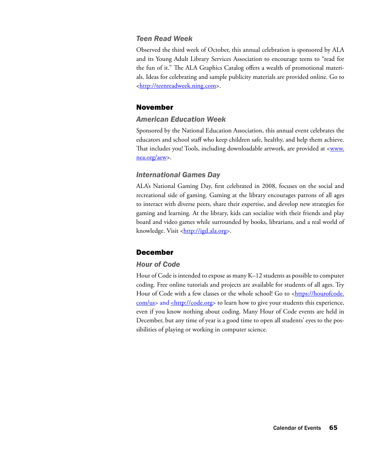#### *Teen Read Week*

Observed the third week of October, this annual celebration is sponsored by ALA and its Young Adult Library Services Association to encourage teens to "read for the fun of it." The ALA Graphics Catalog offers a wealth of promotional materials. Ideas for celebrating and sample publicity materials are provided online. Go to <http://teenreadweek.ning.com>.

#### November

## *American Education Week*

Sponsored by the National Education Association, this annual event celebrates the educators and school staff who keep children safe, healthy, and help them achieve. That includes you! Tools, including downloadable artwork, are provided at <www. nea.org/aew>.

#### *International Games Day*

ALA's National Gaming Day, first celebrated in 2008, focuses on the social and recreational side of gaming. Gaming at the library encourages patrons of all ages to interact with diverse peers, share their expertise, and develop new strategies for gaming and learning. At the library, kids can socialize with their friends and play board and video games while surrounded by books, librarians, and a real world of knowledge. Visit <http://igd.ala.org>.

#### December

#### *Hour of Code*

Hour of Code is intended to expose as many K–12 students as possible to computer coding. Free online tutorials and projects are available for students of all ages. Try Hour of Code with a few classes or the whole school! Go to <https://hourofcode. com/us> and <http://code.org> to learn how to give your students this experience, even if you know nothing about coding. Many Hour of Code events are held in December, but any time of year is a good time to open all students' eyes to the possibilities of playing or working in computer science.